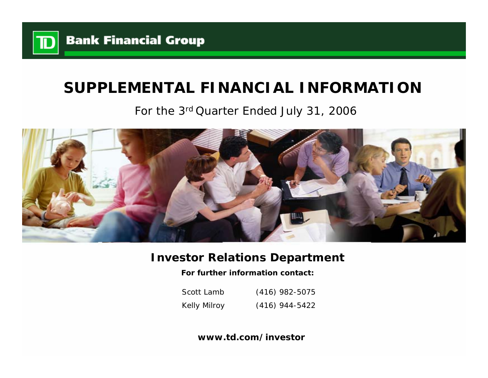

# **SUPPLEMENTAL FINANCIAL INFORMATION**

For the 3rd Quarter Ended July 31, 2006



# **Investor Relations Department**

**For further information contact:**

Scott LambKelly Milroy (416) 982-5075 (416) 944-5422

**www.td.com/investor**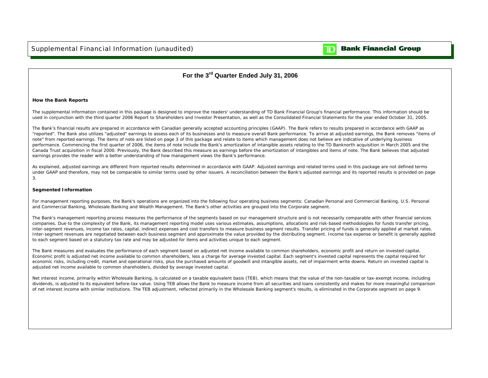

### **Bank Financial Group**

### **For the 3rd Quarter Ended July 31, 2006**

### **How the Bank Reports**

The supplemental information contained in this package is designed to improve the readers' understanding of TD Bank Financial Group's financial performance. This information should be used in conjunction with the third quarter 2006 Report to Shareholders and Investor Presentation, as well as the Consolidated Financial Statements for the year ended October 31, 2005.

The Bank's financial results are prepared in accordance with Canadian generally accepted accounting principles (GAAP). The Bank refers to results prepared in accordance with GAAP as "reported". The Bank also utilizes "adjusted" earnings to assess each of its businesses and to measure overall Bank performance. To arrive at adjusted earnings, the Bank removes "items of note" from reported earnings. The items of note are listed on page 3 of this package and relate to items which management does not believe are indicative of underlying business performance. Commencing the first quarter of 2006, the items of note include the Bank's amortization of intangible assets relating to the TD Banknorth acquisition in March 2005 and the Canada Trust acquisition in fiscal 2000. Previously, the Bank described this measure as earnings before the amortization of intangibles and items of note. The Bank believes that adjusted earnings provides the reader with a better understanding of how management views the Bank's performance.

As explained, adjusted earnings are different from reported results determined in accordance with GAAP. Adjusted earnings and related terms used in this package are not defined terms under GAAP and therefore, may not be comparable to similar terms used by other issuers. A reconciliation between the Bank's adjusted earnings and its reported results is provided on page 3.

### **Segmented Information**

For management reporting purposes, the Bank's operations are organized into the following four operating business segments: Canadian Personal and Commercial Banking, U.S. Personal and Commercial Banking, Wholesale Banking and Wealth Management. The Bank's other activities are grouped into the Corporate segment.

The Bank's management reporting process measures the performance of the segments based on our management structure and is not necessarily comparable with other financial services companies. Due to the complexity of the Bank, its management reporting model uses various estimates, assumptions, allocations and risk-based methodologies for funds transfer pricing, inter-segment revenues, income tax rates, capital, indirect expenses and cost transfers to measure business segment results. Transfer pricing of funds is generally applied at market rates. Inter-segment revenues are negotiated between each business segment and approximate the value provided by the distributing segment. Income tax expense or benefit is generally applied to each segment based on a statutory tax rate and may be adjusted for items and activities unique to each segment.

The Bank measures and evaluates the performance of each segment based on adjusted net income available to common shareholders, economic profit and return on invested capital. Economic profit is adjusted net income available to common shareholders, less a charge for average invested capital. Each segment's invested capital represents the capital required for economic risks, including credit, market and operational risks, plus the purchased amounts of goodwill and intangible assets, net of impairment write downs. Return on invested capital is adjusted net income available to common shareholders, divided by average invested capital.

Net interest income, primarily within Wholesale Banking, is calculated on a taxable equivalent basis (TEB), which means that the value of the non-taxable or tax-exempt income, including dividends, is adjusted to its equivalent before-tax value. Using TEB allows the Bank to measure income from all securities and loans consistently and makes for more meaningful comparison of net interest income with similar institutions. The TEB adjustment, reflected primarily in the Wholesale Banking segment's results, is eliminated in the Corporate segment on page 9.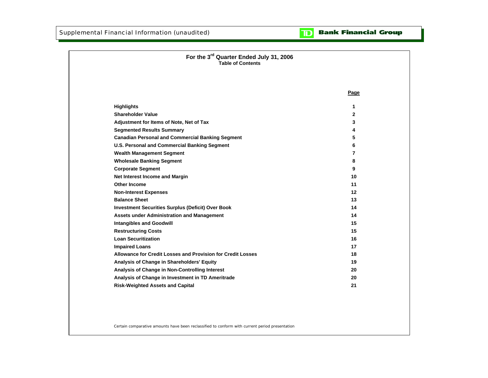#### **Bank Financial Group**  $\mathbf{D}$

| For the 3rd Quarter Ended July 31, 2006<br><b>Table of Contents</b> |      |
|---------------------------------------------------------------------|------|
|                                                                     |      |
|                                                                     | Page |
| <b>Highlights</b>                                                   | 1    |
| <b>Shareholder Value</b>                                            | 2    |
| Adjustment for Items of Note, Net of Tax                            | 3    |
| <b>Segmented Results Summary</b>                                    | 4    |
| <b>Canadian Personal and Commercial Banking Segment</b>             | 5    |
| <b>U.S. Personal and Commercial Banking Segment</b>                 | 6    |
| <b>Wealth Management Segment</b>                                    | 7    |
| <b>Wholesale Banking Segment</b>                                    | 8    |
| <b>Corporate Segment</b>                                            | 9    |
| Net Interest Income and Margin                                      | 10   |
| <b>Other Income</b>                                                 | 11   |
| <b>Non-Interest Expenses</b>                                        | 12   |
| <b>Balance Sheet</b>                                                | 13   |
| <b>Investment Securities Surplus (Deficit) Over Book</b>            | 14   |
| <b>Assets under Administration and Management</b>                   | 14   |
| <b>Intangibles and Goodwill</b>                                     | 15   |
| <b>Restructuring Costs</b>                                          | 15   |
| <b>Loan Securitization</b>                                          | 16   |
| <b>Impaired Loans</b>                                               | 17   |
| Allowance for Credit Losses and Provision for Credit Losses         | 18   |
| Analysis of Change in Shareholders' Equity                          | 19   |
| Analysis of Change in Non-Controlling Interest                      | 20   |
| Analysis of Change in Investment in TD Ameritrade                   | 20   |
| <b>Risk-Weighted Assets and Capital</b>                             | 21   |
|                                                                     |      |
|                                                                     |      |

Certain comparative amounts have been reclassified to conform with current period presentation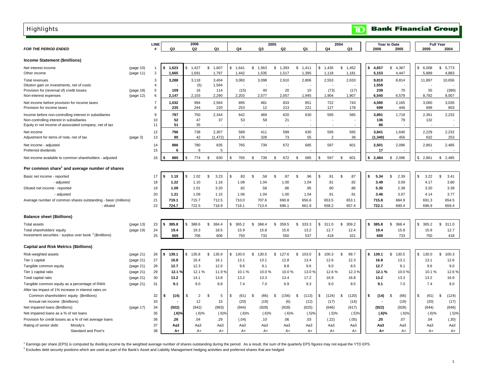| <b>Highlights</b>                                                          |           |                     |              |    |                |                   |             |    |           |         |            |                     |                       |                | ID         |    |              |                | <b>Bank Financial Group</b> |              |                  |              |
|----------------------------------------------------------------------------|-----------|---------------------|--------------|----|----------------|-------------------|-------------|----|-----------|---------|------------|---------------------|-----------------------|----------------|------------|----|--------------|----------------|-----------------------------|--------------|------------------|--------------|
|                                                                            |           |                     |              |    |                |                   |             |    |           |         |            |                     |                       |                |            |    |              |                |                             |              |                  |              |
| <b>FOR THE PERIOD ENDED</b>                                                |           | LINE<br>#           | Q3           |    | 2006<br>Q2     | Q1                | Q4          |    | Q3        | 2005    | Q2         | Q <sub>1</sub>      | Q4                    | 2004           | Q3         |    | 2006         | Year to Date   | 2005                        | 2005         | <b>Full Year</b> | 2004         |
| <b>Income Statement (\$millions)</b>                                       |           |                     |              |    |                |                   |             |    |           |         |            |                     |                       |                |            |    |              |                |                             |              |                  |              |
| Net interest income                                                        | (page 10) | 1                   | 1,623        | \$ | 1,427          | \$<br>1,607       | \$1,641     | \$ | 1,563     | \$1,393 |            | \$<br>1,411         | $\mathbb{S}$<br>1,435 | \$             | 1,452      | \$ | 4,657        | \$             | 4,367                       | \$<br>6,008  | \$               | 5,773        |
| Other income                                                               | (page 11) | $\overline{2}$      | 1,665        |    | 1,691          | 1,797             | 1,442       |    | 1,535     |         | 1,517      | 1,395               | 1,118                 |                | 1,181      |    | 5,153        |                | 4,447                       | 5,889        |                  | 4,883        |
| Total revenues                                                             |           | 3                   | 3,288        |    | 3,118          | 3,404             | 3,083       |    | 3,098     |         | 2,910      | 2,806               | 2,553                 |                | 2,633      |    | 9,810        |                | 8,814                       | 11,897       |                  | 10,656       |
| Dilution gain on investments, net of costs                                 |           | $\overline{4}$      |              |    | (5)            | 1,564             |             |    |           |         |            |                     |                       |                |            |    | 1,559        |                |                             |              |                  |              |
| Provision for (reversal of) credit losses                                  | (page 18) | $5\phantom{.0}$     | 109          |    | 16             | 114               | (15)        |    | 40        |         | 20         | 10                  | (73)                  |                | (17)       |    | 239          |                | 70                          | 55           |                  | (386)        |
| Non-interest expenses                                                      | (page 12) | 6                   | 2,147        |    | 2,103          | 2,290             | 2.203       |    | 2.577     |         | 2.057      | 1,945               | 1,904                 |                | 1,907      |    | 6.540        |                | 6,579                       | 8.782        |                  | 8,007        |
| Net income before provision for income taxes<br>Provision for income taxes |           | $\overline{7}$<br>8 | 1,032<br>235 |    | 994<br>244     | 2,564<br>220      | 895<br>253  |    | 481<br>12 |         | 833<br>213 | 851<br>221          | 722<br>127            |                | 743<br>178 |    | 4,590<br>699 |                | 2,165<br>446                | 3,060<br>699 |                  | 3,035<br>803 |
| Income before non-controlling interest in subsidiaries                     |           | 9                   | 797          |    | 750            | 2,344             | 642         |    | 469       |         | 620        | 630                 | 595                   |                | 565        |    | 3,891        |                | 1,719                       | 2,361        |                  | 2,232        |
| Non-controlling interest in subsidiaries                                   |           | 10                  | 52           |    | 47             | 37                | 53          |    | 58        |         | 21         |                     |                       |                |            |    | 136          |                | 79                          | 132          |                  |              |
| Equity in net income of associated company, net of tax                     |           | 11                  | 51           |    | 35             |                   |             |    |           |         |            |                     |                       |                |            |    | 86           |                |                             |              |                  |              |
| Net income                                                                 |           | 12                  | 796          |    | 738            | 2,307             | 589         |    | 411       |         | 599        | 630                 | 595                   |                | 565        |    | 3,841        |                | 1,640                       | 2,229        |                  | 2,232        |
| Adjustment for items of note, net of tax                                   | (page 3)  | 13                  | 90           |    | 42             | (1, 472)          | 176         |    | 328       |         | 73         | 55                  | $\overline{2}$        |                | 36         |    | (1, 340)     |                | 456                         | 632          |                  | 253          |
|                                                                            |           | 14                  | 886          |    | 780            | 835               | 765         |    | 739       |         | 672        | 685                 | 597                   |                | 601        |    | 2,501        |                | 2,096                       | 2,861        |                  | 2,485        |
| Net income - adjusted<br>Preferred dividends                               |           | 15                  | 6            |    | 6              | 5                 |             |    |           |         |            |                     |                       |                |            |    | 17           |                |                             |              |                  |              |
| Net income available to common shareholders - adjusted                     |           | 16                  | 880          |    | 774            | \$<br>830         | \$<br>765   | \$ | 739       | \$      | 672        | 685<br>\$           | 597<br>\$             | \$             | 601        | s. | 2,484        | S.             | 2,096                       | \$<br>2,861  | \$               | 2,485        |
| Per common share <sup>1</sup> and average number of shares                 |           |                     |              |    |                |                   |             |    |           |         |            |                     |                       |                |            |    |              |                |                             |              |                  |              |
| Basic net income - reported                                                |           | 17                  | 1.10<br>ŝ    | \$ | 1.02           | \$<br>3.23        | \$<br>.83   | \$ | .58       | \$      | .87        | $\mathbf{s}$<br>.96 | .91<br>\$             | \$             | .87        | \$ | 5.34         | $\mathfrak{L}$ | 2.39                        | \$<br>3.22   | \$               | 3.41         |
| - adjusted                                                                 |           | 18                  | 1.22         |    | 1.10           | 1.16              | 1.08        |    | 1.04      |         | 1.00       | 1.04                | .91                   |                | .92        |    | 3.49         |                | 3.09                        | 4.17         |                  | 3.80         |
| Diluted net income - reported                                              |           | 19                  | 1.09         |    | 1.01           | 3.20              | .82         |    | .58       |         | .86        | .95                 | .90                   |                | .86        |    | 5.30         |                | 2.38                        | 3.20         |                  | 3.39         |
| - adjusted                                                                 |           | 20                  | 1.21         |    | 1.09           | 1.15              | 1.06        |    | 1.04      |         | 1.00       | 1.04                | .91                   |                | .91        |    | 3.46         |                | 3.07                        | 4.14         |                  | 3.77         |
| Average number of common shares outstanding - basic (millions)             |           | 21                  | 719.1        |    | 715.7          | 712.5             | 710.0       |    | 707.6     |         | 690.8      | 656.6               | 653.5                 |                | 653.1      |    | 715.8        |                | 684.9                       | 691.3        |                  | 654.5        |
| - diluted                                                                  |           | 22                  | 724.7        |    | 722.5          | 718.9             | 716.1       |    | 713.4     |         | 696.1      | 661.9               | 658.2                 |                | 657.4      |    | 722.1        |                | 690.4                       | 696.9        |                  | 659.4        |
| <b>Balance sheet (\$billions)</b>                                          |           |                     |              |    |                |                   |             |    |           |         |            |                     |                       |                |            |    |              |                |                             |              |                  |              |
| <b>Total assets</b>                                                        | (page 13) | 23                  | 385.8<br>\$  | \$ | 388.6          | \$.<br>384.4      | \$<br>365.2 | \$ | 368.4     | \$      | 359.5      | 333.3<br>\$         | 311.0<br>\$           | $\mathfrak{s}$ | 309.2      | \$ | 385.8        | -S             | 368.4                       | \$<br>365.2  | \$               | 311.0        |
| Total shareholders' equity                                                 | (page 19) | 24                  | 19.4         |    | 19.3           | 18.5              | 15.9        |    | 15.8      |         | 15.6       | 13.2                | 12.7                  |                | 12.4       |    | 19.4         |                | 15.8                        | 15.9         |                  | 12.7         |
| Investment securities - surplus over book <sup>2</sup> (\$millions)        |           | 25                  | 669          |    | 706            | 806               | 750         |    | 733       |         | 550        | 537                 | 418                   |                | 321        |    | 669          |                | 733                         | 750          |                  | 418          |
|                                                                            |           |                     |              |    |                |                   |             |    |           |         |            |                     |                       |                |            |    |              |                |                             |              |                  |              |
| <b>Capital and Risk Metrics (\$billions)</b>                               |           |                     |              |    |                |                   |             |    |           |         |            |                     |                       |                |            |    |              |                |                             |              |                  |              |
| Risk-weighted assets                                                       | (page 21) | 26                  | 139.1<br>\$  | S. | 135.8          | \$<br>135.9       | \$<br>130.0 | \$ | 130.5     | \$      | 127.6      | 103.0<br>\$         | 100.3<br>\$           | \$             | 99.7       | s. | 139.1        | \$             | 130.5                       | \$<br>130.0  | \$               | 100.3        |
| Tier 1 capital                                                             | (page 21) | 27                  | 16.8         |    | 16.4           | 16.1              | 13.1        |    | 13.1      |         | 12.8       | 13.4                | 12.6                  |                | 12.3       |    | 16.8         |                | 13.1                        | 13.1         |                  | 12.6         |
| Tangible common equity                                                     | (page 21) | 28                  | 12.7         |    | 12.3           | 12.0              | 9.6         |    | 9.1       |         | 8.8        | 9.6                 | 9.0                   |                | 8.5        |    | 12.7         |                | 9.1                         | 9.6          |                  | 9.0          |
| Tier 1 capital ratio                                                       | (page 21) | 29                  | 12.1%        |    | 12.1 %         | 11.9 <sup>9</sup> | 10.1%       |    | 10.0%     |         | 10.0%      | 13.0%               | 12.6%                 |                | 12.3%      |    | 12.1%        |                | 10.0%                       | 10.1%        |                  | 12.6%        |
| Total capital ratio                                                        | (page 21) | 30                  | 13.2         |    | 14.1           | 13.8              | 13.2        |    | 13.3      |         | 13.4       | 17.2                | 16.9                  |                | 16.8       |    | 13.2         |                | 13.3                        | 13.2         |                  | 16.9         |
| Tangible common equity as a percentage of RWA                              | (page 21) | 31                  | 9.1          |    | 9.0            | 8.8               | 7.4         |    | 7.0       |         | 6.9        | 9.3                 | 9.0                   |                | 8.5        |    | 9.1          |                | 7.0                         | 7.4          |                  | 9.0          |
| After tax impact of 1% increase in interest rates on                       |           |                     |              |    |                |                   |             |    |           |         |            |                     |                       |                |            |    |              |                |                             |              |                  |              |
| Common shareholders' equity (\$millions)                                   |           | 32                  | (14)<br>\$   | \$ | $\overline{2}$ | S<br>5            | \$<br>(61)  | S  | (66)      | \$      | (156)      | (113)<br>\$         | (124)<br>\$           | - \$           | (120)      | \$ | (14)         | S              | (66)                        | \$<br>(61)   | \$               | (124)        |
| Annual net income (\$millions)                                             |           | 33                  |              |    | 12             | 15                | (20)        |    | (19)      |         | (6)        | (12)                | (17)                  |                | (14)       |    |              |                | (19)                        | (20)         |                  | (17)         |
| Net impaired loans (\$millions)                                            | (page 17) | 34                  | (922)        |    | (942)          | (993)             | (944)       |    | (928)     |         | (928)      | (625)               | (646)                 |                | (617)      |    | (922)        |                | (928)                       | (944)        |                  | (646)        |
| Net impaired loans as a % of net loans                                     |           | 35                  | $(.6)$ %     |    | (.6)%          | (.6)%             | (.6)%       |    | (.6)%     |         | (.6)%      | (.5)%               | (.5)%                 |                | (.5)%      |    | (.6)%        |                | (.6)                        | $(.6)$ %     |                  | (.5)%        |
| Provision for credit losses as a % of net average loans                    |           | 36                  | .26          |    | .04            | .29               | (.04)       |    | .10       |         | .06        | .03                 | (.22)                 |                | (.05)      |    | .20          |                | .07                         | .04          |                  | (.30)        |
| Rating of senior debt:<br>Moody's                                          |           | 37                  | АаЗ          |    | Aa3            | Aa3               | Aa3         |    | Aa3       |         | АаЗ        | Aa3                 | Aa3                   |                | Aa3        |    | Aa3          |                | АаЗ                         | Aa3          |                  | Aa3          |
| Standard and Poor's                                                        |           | 38                  | $A+$         |    | A+             | $A+$              | $A+$        |    | $A+$      |         | $A+$       | $A+$                | $A+$                  |                | $A+$       |    | A+           |                | $A+$                        | $A+$         |                  | A+           |

<sup>1</sup> Earnings per share (EPS) is computed by dividing income by the weighted average number of shares outstanding during the period. As a result, the sum of the quarterly EPS figures may not equal the YTD EPS.

 $^2$  Excludes debt security positions which are used as part of the Bank's Asset and Liability Management hedging activities and preferred shares that are hedged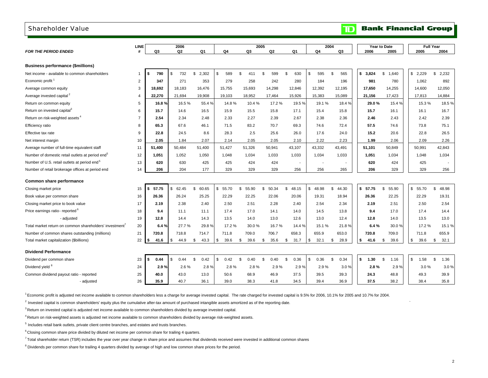### Shareholder Value

|                                                              | <b>LINE</b>    |             | 2006        |                         |                       |                       | 2005                 |             |             | 2004        |             | Year to Date          |             | <b>Full Year</b> |
|--------------------------------------------------------------|----------------|-------------|-------------|-------------------------|-----------------------|-----------------------|----------------------|-------------|-------------|-------------|-------------|-----------------------|-------------|------------------|
| <b>FOR THE PERIOD ENDED</b>                                  | #              | Q3          | Q2          | Q1                      | Q4                    | Q3                    | Q2                   | Q1          | Q4          | Q3          | 2006        | 2005                  | 2005        | 2004             |
|                                                              |                |             |             |                         |                       |                       |                      |             |             |             |             |                       |             |                  |
| <b>Business performance (\$millions)</b>                     |                |             |             |                         |                       |                       |                      |             |             |             |             |                       |             |                  |
| Net income - available to common shareholders                | $\mathbf{1}$   | 790<br>\$   | 732<br>\$   | $\mathfrak{L}$<br>2,302 | $\mathcal{F}$<br>589  | $\mathfrak{L}$<br>411 | $\mathcal{F}$<br>599 | \$.<br>630  | \$<br>595   | \$<br>565   | \$<br>3.824 | $\mathbf{s}$<br>1,640 | \$2.229     | \$<br>2,232      |
| Economic profit <sup>1</sup>                                 | $\overline{2}$ | 347         | 271         | 353                     | 279                   | 258                   | 242                  | 280         | 184         | 196         | 981         | 780                   | 1,062       | 892              |
| Average common equity                                        | 3              | 18.692      | 18,183      | 16,476                  | 15,755                | 15,693                | 14,298               | 12,846      | 12,392      | 12,195      | 17,650      | 14,255                | 14,600      | 12,050           |
| Average invested capital <sup>2</sup>                        | $\overline{4}$ | 22,270      | 21,694      | 19,908                  | 19,103                | 18,952                | 17,464               | 15,926      | 15,383      | 15,089      | 21,156      | 17,423                | 17,813      | 14,884           |
| Return on common equity                                      | 5              | 16.8%       | 16.5%       | 55.4 %                  | 14.8%                 | 10.4%                 | 17.2%                | 19.5%       | 19.1%       | 18.4%       | 29.0%       | 15.4%                 | 15.3%       | 18.5%            |
| Return on invested capital <sup>3</sup>                      | 6              | 15.7        | 14.6        | 16.5                    | 15.9                  | 15.5                  | 15.8                 | 17.1        | 15.4        | 15.8        | 15.7        | 16.1                  | 16.1        | 16.7             |
| Return on risk-weighted assets <sup>4</sup>                  | $\overline{7}$ | 2.54        | 2.34        | 2.48                    | 2.33                  | 2.27                  | 2.39                 | 2.67        | 2.38        | 2.36        | 2.46        | 2.43                  | 2.42        | 2.39             |
| Efficiency ratio                                             | 8              | 65.3        | 67.6        | 46.1                    | 71.5                  | 83.2                  | 70.7                 | 69.3        | 74.6        | 72.4        | 57.5        | 74.6                  | 73.8        | 75.1             |
| Effective tax rate                                           | 9              | 22.8        | 24.5        | 8.6                     | 28.3                  | 2.5                   | 25.6                 | 26.0        | 17.6        | 24.0        | 15.2        | 20.6                  | 22.8        | 26.5             |
| Net interest margin                                          | 10             | 2.05        | 1.84        | 2.07                    | 2.14                  | 2.05                  | 2.05                 | 2.10        | 2.22        | 2.23        | 1.99        | 2.06                  | 2.09        | 2.26             |
| Average number of full-time equivalent staff                 | 11             | 51,400      | 50,484      | 51,400                  | 51,427                | 51,326                | 50,941               | 43,107      | 43,332      | 43,491      | 51,101      | 50,849                | 50,991      | 42,843           |
| Number of domestic retail outlets at period end <sup>5</sup> | 12             | 1,051       | 1,052       | 1,050                   | 1,048                 | 1,034                 | 1,033                | 1,033       | 1,034       | 1,033       | 1,051       | 1,034                 | 1,048       | 1,034            |
| Number of U.S. retail outlets at period end <sup>5</sup>     | 13             | 620         | 630         | 425                     | 425                   | 424                   | 424                  | ÷,          |             |             | 620         | 424                   | 425         |                  |
| Number of retail brokerage offices at period end             | 14             | 206         | 204         | 177                     | 329                   | 329                   | 329                  | 256         | 256         | 265         | 206         | 329                   | 329         | 256              |
| Common share performance                                     |                |             |             |                         |                       |                       |                      |             |             |             |             |                       |             |                  |
| Closing market price                                         | 15             | \$<br>57.75 | 62.45<br>\$ | \$<br>60.65             | \$<br>55.70           | \$<br>55.90           | \$.<br>50.34         | \$<br>48.15 | \$<br>48.98 | \$<br>44.30 | s.<br>57.75 | S.<br>55.90           | \$<br>55.70 | \$<br>48.98      |
| Book value per common share                                  | 16             | 26.36       | 26.24       | 25.25                   | 22.29                 | 22.25                 | 22.06                | 20.06       | 19.31       | 18.94       | 26.36       | 22.25                 | 22.29       | 19.31            |
| Closing market price to book value                           | 17             | 2.19        | 2.38        | 2.40                    | 2.50                  | 2.51                  | 2.28                 | 2.40        | 2.54        | 2.34        | 2.19        | 2.51                  | 2.50        | 2.54             |
| Price earnings ratio-reported <sup>6</sup>                   | 18             | 9.4         | 11.1        | 11.1                    | 17.4                  | 17.0                  | 14.1                 | 14.0        | 14.5        | 13.8        | 9.4         | 17.0                  | 17.4        | 14.4             |
| - adjusted                                                   | 19             | 12.8        | 14.4        | 14.3                    | 13.5                  | 14.0                  | 13.0                 | 12.6        | 13.0        | 12.4        | 12.8        | 14.0                  | 13.5        | 13.0             |
| Total market return on common shareholders' investment'      | 20             | 6.4%        | 27.7%       | 29.8%                   | 17.2%                 | 30.0%                 | 16.7%                | 14.4 %      | 15.1%       | 21.8%       | 6.4%        | 30.0%                 | 17.2%       | 15.1 %           |
| Number of common shares outstanding (millions)               | 21             | 720.8       | 718.8       | 714.7                   | 711.8                 | 709.0                 | 706.7                | 658.3       | 655.9       | 653.0       | 720.8       | 709.0                 | 711.8       | 655.9            |
| Total market capitalization (\$billions)                     | 22             | 41.6<br>\$  | \$<br>44.9  | \$<br>43.3              | \$<br>39.6            | 39.6<br>\$            | 35.6<br>\$           | \$<br>31.7  | \$<br>32.1  | \$<br>28.9  | \$<br>41.6  | \$<br>39.6            | \$<br>39.6  | \$<br>32.1       |
|                                                              |                |             |             |                         |                       |                       |                      |             |             |             |             |                       |             |                  |
| <b>Dividend Performance</b>                                  |                |             |             |                         |                       |                       |                      |             |             |             |             |                       |             |                  |
| Dividend per common share                                    | 23             | 0.44<br>\$  | 0.44<br>£.  | \$.<br>0.42             | $\mathcal{F}$<br>0.42 | \$<br>0.40            | \$<br>0.40           | \$<br>0.36  | S.<br>0.36  | \$<br>0.34  | s.<br>1.30  | \$<br>1.16            | \$<br>1.58  | \$<br>1.36       |
| Dividend yield 8                                             | 24             | 2.9%        | 2.6%        | 2.8%                    | 2.8%                  | 2.8%                  | 2.9%                 | 2.9%        | 2.9%        | 3.0%        | 2.8%        | 2.9%                  | 3.0%        | 3.0%             |
| Common dividend payout ratio - reported                      | 25             | 40.0        | 43.0        | 13.0                    | 50.6                  | 68.9                  | 46.9                 | 37.5        | 39.5        | 39.3        | 24.3        | 48.8                  | 49.3        | 39.9             |
| - adjusted                                                   | 26             | 35.9        | 40.7        | 36.1                    | 39.0                  | 38.3                  | 41.8                 | 34.5        | 39.4        | 36.9        | 37.5        | 38.2                  | 38.4        | 35.8             |

1 Economic profit is adjusted net income available to common shareholders less a charge for average invested capital. The rate charged for invested capital is 9.5% for 2006, 10.1% for 2005 and 10.7% for 2004.

 $^2$  Invested capital is common shareholders' equity plus the cumulative after-tax amount of purchased intangible assets amortized as of the reporting date.

<sup>3</sup> Return on invested capital is adjusted net income available to common shareholders divided by average invested capital.

4 Return on risk-weighted assets is adjusted net income available to common shareholders divided by average risk-weighted assets.

 $<sup>5</sup>$  Includes retail bank outlets, private client centre branches, and estates and trusts branches.</sup>

 $6$  Closing common share price divided by diluted net income per common share for trailing 4 quarters.

<sup>7</sup> Total shareholder return (TSR) includes the year over year change in share price and assumes that dividends received were invested in additional common shares

<sup>8</sup> Dividends per common share for trailing 4 quarters divided by average of high and low common share prices for the period.

**D** Bank Financial Group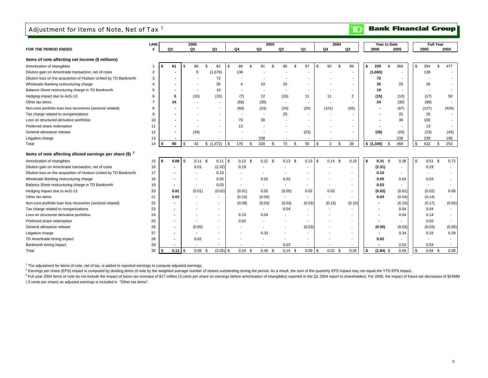## Adjustment for Items of Note, Net of Tax<sup>1</sup>

#### **Bank Financial Group**  $\mathbf{D}$

|                                                                        | <b>LINE</b>        |                | 2006                     |                          |              |           |                          | 2005                     |                |                          |                | 2004                 |                          |           | Year to Date |                          |          | <b>Full Year</b>         |                          |
|------------------------------------------------------------------------|--------------------|----------------|--------------------------|--------------------------|--------------|-----------|--------------------------|--------------------------|----------------|--------------------------|----------------|----------------------|--------------------------|-----------|--------------|--------------------------|----------|--------------------------|--------------------------|
| <b>FOR THE PERIOD ENDED</b>                                            | $\boldsymbol{\mu}$ | Q3             | Q <sub>2</sub>           | Q <sub>1</sub>           | Q4           |           | Q <sub>3</sub>           | Q2                       |                | Q <sub>1</sub>           | Q <sub>4</sub> |                      | Q <sub>3</sub>           |           | 2006         | 2005                     |          | 2005                     | 2004                     |
| Items of note affecting net income (\$ millions)                       |                    |                |                          |                          |              |           |                          |                          |                |                          |                |                      |                          |           |              |                          |          |                          |                          |
| Amortization of intangibles                                            |                    | 61             | \$<br>86<br>\$           | 82                       | \$           | 86<br>\$  | 91                       | 90<br>\$                 | $\mathfrak{L}$ | 87                       | \$             | 92<br>$\mathfrak{s}$ | 99                       | \$        | 229<br>\$    | 268                      | \$       | 354                      | \$<br>477                |
| Dilution gain on Ameritrade transaction, net of costs                  | $\overline{2}$     |                | 5                        | (1,670)                  |              | 138       |                          |                          |                |                          |                |                      |                          |           | (1,665)      |                          |          | 138                      |                          |
| Dilution loss on the acquisition of Hudson United by TD Banknorth      | 3                  |                |                          | 72                       |              |           |                          |                          |                |                          |                |                      |                          |           | 72           |                          |          |                          |                          |
| Wholesale Banking restructuring charge                                 | 4                  |                |                          | 35                       |              |           | 10                       | 15                       |                |                          |                |                      |                          |           | 35           | 25                       |          | 29                       |                          |
| Balance Sheet restructuring charge in TD Banknorth                     | 5                  |                |                          | 19                       |              |           |                          |                          |                |                          |                |                      |                          |           | 19           |                          |          |                          |                          |
| Hedging impact due to AcG-13                                           | 6                  | 5              | (10)                     | (10)                     |              | (7)       | 12                       | (33)                     |                | 11                       |                | 11                   | $\overline{2}$           |           | (15)         | (10)                     |          | (17)                     | 50                       |
| Other tax items                                                        |                    | 24             |                          |                          |              | (68)      | (30)                     | $\overline{\phantom{a}}$ |                | $\overline{\phantom{a}}$ |                |                      |                          |           | 24           | (30)                     |          | (98)                     |                          |
| Non-core portfolio loan loss recoveries (sectoral related)             | 8                  |                |                          |                          |              | (60)      | (23)                     | (24)                     |                | (20)                     |                | (101)                | (65)                     |           |              | (67)                     |          | (127)                    | (426)                    |
| Tax charge related to reorganizations                                  | 9                  |                |                          |                          |              |           |                          | 25                       |                |                          |                |                      |                          |           |              | 25                       |          | 25                       |                          |
| Loss on structured derivative portfolios                               | 10                 |                |                          |                          |              | 70        | 30                       |                          |                |                          |                |                      |                          |           |              | 30                       |          | 100                      |                          |
| Preferred share redemption                                             | 11                 |                |                          |                          |              | 13        |                          |                          |                |                          |                |                      |                          |           |              |                          |          | 13                       |                          |
| General allowance release                                              | 12                 |                | (39)                     |                          |              |           |                          |                          |                | (23)                     |                |                      |                          |           | (39)         | (23)                     |          | (23)                     | (43)                     |
| Litigation charge                                                      | 13                 |                |                          |                          |              |           | 238                      |                          |                |                          |                |                      |                          |           |              | 238                      |          | 238                      | 195                      |
| Total                                                                  | 14                 | 90<br>S        | \$<br>42                 | \$(1,472)                | \$           | 176<br>\$ | 328                      | 73<br>\$                 | \$             | 55                       | \$             | $\overline{2}$<br>\$ | 36                       | \$(1,340) | \$           | 456                      | \$       | 632                      | 253<br>\$                |
|                                                                        |                    |                |                          |                          |              |           |                          |                          |                |                          |                |                      |                          |           |              |                          |          |                          |                          |
| Items of note affecting diluted earnings per share $(\$)$ <sup>2</sup> |                    |                |                          |                          |              |           |                          |                          |                |                          |                |                      |                          |           |              |                          |          |                          |                          |
| Amortization of intangibles                                            | 15                 | 0.08<br>-\$    | \$<br>$0.11$ \$          | 0.11                     | $\mathsf{s}$ | $0.12$ \$ | $0.12$ \$                |                          | $0.13$ \$      |                          |                | $0.14$ \$            | 0.15                     | S.        | $0.31$ \$    | 0.38                     | <b>S</b> | $0.51$ \$                | 0.72                     |
| Dilution gain on Ameritrade transaction, net of costs                  | 16                 |                | 0.01                     | (2.32)                   |              | 0.19      |                          |                          |                |                          |                |                      |                          |           | (2.31)       |                          |          | 0.19                     |                          |
| Dilution loss on the acquisition of Hudson United by TD Banknorth      | 17                 |                |                          | 0.10                     |              |           |                          |                          |                |                          |                |                      | $\overline{\phantom{a}}$ |           | 0.10         | $\overline{\phantom{a}}$ |          |                          |                          |
| Wholesale Banking restructuring charge                                 | 18                 |                |                          | 0.05                     |              |           | 0.02                     |                          | 0.02           |                          |                |                      | $\overline{\phantom{a}}$ |           | 0.05         | 0.04                     |          | 0.04                     |                          |
| Balance Sheet restructuring charge in TD Banknorth                     | 19                 |                | $\overline{\phantom{a}}$ | 0.03                     |              |           | $\overline{\phantom{a}}$ |                          |                | $\overline{\phantom{a}}$ |                |                      |                          |           | 0.03         | $\overline{\phantom{a}}$ |          | $\overline{\phantom{a}}$ |                          |
| Hedging impact due to AcG-13                                           | 20                 | 0.01           | (0.01)                   | (0.02)                   |              | (0.01)    | 0.02                     |                          | (0.05)         | 0.02                     |                | 0.02                 | $\overline{\phantom{a}}$ |           | (0.02)       | (0.01)                   |          | (0.02)                   | 0.08                     |
| Other tax items                                                        | 21                 | 0.03           |                          |                          |              | (0.10)    | (0.04)                   | $\sim$                   |                | $\overline{\phantom{a}}$ |                |                      |                          |           | 0.03         | (0.04)                   |          | (0.14)                   | $\overline{\phantom{a}}$ |
| Non-core portfolio loan loss recoveries (sectoral related)             | 22                 | $\overline{a}$ |                          | $\overline{\phantom{a}}$ |              | (0.08)    | (0.03)                   |                          | (0.03)         | (0.03)                   |                | (0.15)               | (0.10)                   |           |              | (0.10)                   |          | (0.17)                   | (0.65)                   |
| Tax charge related to reorganizations                                  | 23                 |                |                          |                          |              |           |                          |                          | 0.04           |                          |                |                      |                          |           |              | 0.04                     |          | 0.04                     | $\sim$                   |
| Loss on structured derivative portfolios                               | 24                 |                |                          |                          |              | 0.10      | 0.04                     |                          |                |                          |                |                      |                          |           |              | 0.04                     |          | 0.14                     | $\sim$                   |
| Preferred share redemption                                             | 25                 |                |                          |                          |              | 0.02      |                          |                          |                |                          |                |                      |                          |           |              |                          |          | 0.02                     |                          |
| General allowance release                                              | 26                 |                | (0.05)                   |                          |              |           |                          |                          |                | (0.03)                   |                |                      |                          |           | (0.05)       | (0.03)                   |          | (0.03)                   | (0.06)                   |
| Litigation charge                                                      | 27                 |                |                          |                          |              |           | 0.33                     |                          |                |                          |                |                      |                          |           |              | 0.34                     |          | 0.33                     | 0.29                     |
| TD Ameritrade timing impact                                            | 28                 |                | 0.02                     |                          |              |           |                          |                          |                |                          |                |                      | $\overline{\phantom{a}}$ |           | 0.02         |                          |          |                          |                          |
| Banknorth timing impact                                                | 29                 |                |                          |                          |              |           |                          |                          | 0.03           |                          |                |                      |                          |           |              | 0.03                     |          | 0.03                     |                          |
| Total                                                                  | 30                 | $0.12$ \$      | 0.08 <sup>5</sup>        | $(2.05)$ \$              |              | $0.24$ \$ | $0.46$ \$                |                          | $0.14$ \$      | $0.09$ \$                |                | $0.01$ \$            | 0.05                     | \$        | $(1.84)$ \$  | 0.69                     | <b>S</b> | $0.94$ \$                | 0.38                     |

 $1$  The adjustment for items of note, net of tax, is added to reported earnings to compute adjusted earnings.

<sup>2</sup> Earnings per share (EPS) impact is computed by dividing items of note by the weighted average number of shares outstanding during the period. As a result, the sum of the quarterly EPS impact may not equal the YTD EPS i

<sup>3</sup> Full year 2004 items of note do not include the impact of future tax increase of \$17 million (3 cents per share on earnings before amortization of intangibles) reported in the Q1 2004 report to shareholders. For 2006, ( 3 cents per share) on adjusted earnings is included in "Other tax items".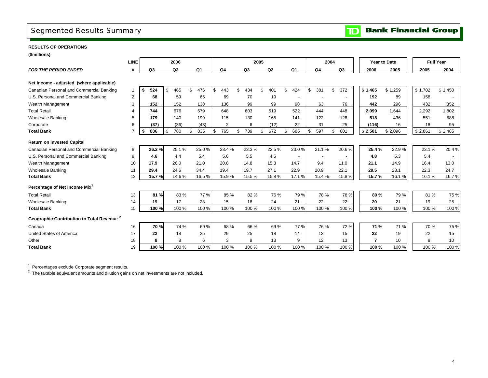# Segmented Results Summary

**Bank Financial Group**  $\mathbf{D}$ 

### **RESULTS OF OPERATIONS**

**(\$millions)**

|                                                       | <b>LINE</b>    | 2006      |           |                |                |           | 2005           |                          |           | 2004                     |                | Year to Date | <b>Full Year</b> |         |
|-------------------------------------------------------|----------------|-----------|-----------|----------------|----------------|-----------|----------------|--------------------------|-----------|--------------------------|----------------|--------------|------------------|---------|
| <b>FOR THE PERIOD ENDED</b>                           | #              | Q3        | Q2        | Q <sub>1</sub> | Q <sub>4</sub> | Q3        | Q <sub>2</sub> | Q1                       | Q4        | Q3                       | 2006           | 2005         | 2005             | 2004    |
| Net Income - adjusted (where applicable)              |                |           |           |                |                |           |                |                          |           |                          |                |              |                  |         |
| Canadian Personal and Commercial Banking              |                | 524       | 465<br>\$ | \$<br>476      | \$<br>443      | \$<br>434 | 401            | 424<br>\$                | \$<br>381 | 372<br>$\mathfrak{L}$    | \$1,465        | \$1,259      | \$1,702          | \$1,450 |
|                                                       | $\mathbf{1}$   | \$        |           |                |                |           |                |                          |           |                          |                |              |                  |         |
| U.S. Personal and Commercial Banking                  | 2              | 68        | 59        | 65             | 69             | 70        | 19             |                          |           | $\overline{\phantom{a}}$ | 192            | 89           | 158              |         |
| Wealth Management                                     | 3              | 152       | 152       | 138            | 136            | 99        | 99             | 98                       | 63        | 76                       | 442            | 296          | 432              | 352     |
| <b>Total Retail</b>                                   | $\overline{4}$ | 744       | 676       | 679            | 648            | 603       | 519            | 522                      | 444       | 448                      | 2,099          | 1.644        | 2,292            | 1,802   |
| <b>Wholesale Banking</b>                              | 5              | 179       | 140       | 199            | 115            | 130       | 165            | 141                      | 122       | 128                      | 518            | 436          | 551              | 588     |
| Corporate                                             | 6              | (37)      | (36)      | (43)           | $\overline{2}$ | 6         | (12)           | 22                       | 31        | 25                       | (116)          | 16           | 18               | 95      |
| <b>Total Bank</b>                                     |                | 886<br>s. | \$<br>780 | 835<br>\$      | 765<br>\$      | 739<br>\$ | 672<br>\$      | 685<br>\$                | 597<br>\$ | 601<br>\$                | \$2,501        | \$2,096      | \$2,861          | \$2,485 |
| <b>Return on Invested Capital</b>                     |                |           |           |                |                |           |                |                          |           |                          |                |              |                  |         |
| Canadian Personal and Commercial Banking              | 8              | 26.2%     | 25.1%     | 25.0%          | 23.4 %         | 23.3%     | 22.5%          | 23.0%                    | 21.1%     | 20.6%                    | 25.4%          | 22.9%        | 23.1%            | 20.4%   |
| U.S. Personal and Commercial Banking                  | 9              | 4.6       | 4.4       | 5.4            | 5.6            | 5.5       | 4.5            | $\overline{\phantom{a}}$ |           |                          | 4.8            | 5.3          | 5.4              |         |
| Wealth Management                                     | 10             | 17.9      | 26.0      | 21.0           | 20.8           | 14.8      | 15.3           | 14.7                     | 9.4       | 11.0                     | 21.1           | 14.9         | 16.4             | 13.0    |
| <b>Wholesale Banking</b>                              | 11             | 29.4      | 24.6      | 34.4           | 19.4           | 19.7      | 27.1           | 22.9                     | 20.9      | 22.1                     | 29.5           | 23.1         | 22.3             | 24.7    |
| <b>Total Bank</b>                                     | 12             | 15.7%     | 14.6%     | 16.5%          | 15.9%          | 15.5%     | 15.8%          | 17.1%                    | 15.4%     | 15.8%                    | 15.7%          | 16.1%        | 16.1 %           | 16.7%   |
| Percentage of Net Income Mix <sup>1</sup>             |                |           |           |                |                |           |                |                          |           |                          |                |              |                  |         |
| <b>Total Retail</b>                                   | 13             | 81%       | 83%       | 77%            | 85 %           | 82%       | 76 %           | 79 %                     | 78%       | 78%                      | 80%            | 79%          | 81%              | 75 %    |
| <b>Wholesale Banking</b>                              | 14             | 19        | 17        | 23             | 15             | 18        | 24             | 21                       | 22        | 22                       | 20             | 21           | 19               | 25      |
| <b>Total Bank</b>                                     | 15             | 100 %     | 100 %     | 100 %          | 100 %          | 100 %     | 100 %          | 100 %                    | 100 %     | 100 %                    | 100 %          | 100 %        | 100 %            | 100 %   |
| Geographic Contribution to Total Revenue <sup>2</sup> |                |           |           |                |                |           |                |                          |           |                          |                |              |                  |         |
| Canada                                                | 16             | 70%       | 74 %      | 69%            | 68%            | 66 %      | 69%            | 77 %                     | 76 %      | 72%                      | 71 %           | 71 %         | 70 %             | 75 %    |
| <b>United States of America</b>                       | 17             | 22        | 18        | 25             | 29             | 25        | 18             | 14                       | 12        | 15                       | 22             | 19           | 22               | 15      |
| Other                                                 | 18             | 8         | 8         | 6              | 3              | 9         | 13             | 9                        | 12        | 13                       | $\overline{ }$ | 10           | 8                | 10      |
| <b>Total Bank</b>                                     | 19             | 100 %     | 100 %     | 100 %          | 100 %          | 100 %     | 100 %          | 100 %                    | 100 %     | 100 %                    | 100 %          | 100 %        | 100 %            | 100 %   |

1 Percentages exclude Corporate segment results.

<sup>2</sup> The taxable equivalent amounts and dilution gains on net investments are not included.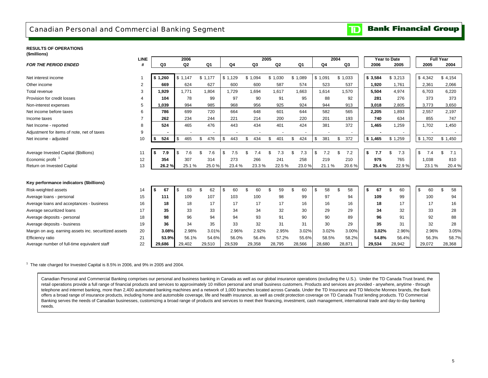### Canadian Personal and Commercial Banking Segment

#### **Bank Financial Group**  $\overline{\mathbf{D}}$

#### **RESULTS OF OPERATIONS(\$millions)**

| $($ <sup>u</sup>                                      | <b>LINE</b>    |           | 2006      |                |                |           | 2005    |        |           |                | 2004 |                | Year to Date |    |         | <b>Full Year</b> |           |
|-------------------------------------------------------|----------------|-----------|-----------|----------------|----------------|-----------|---------|--------|-----------|----------------|------|----------------|--------------|----|---------|------------------|-----------|
| <b>FOR THE PERIOD ENDED</b>                           | #              | Q3        | Q2        | Q <sub>1</sub> | Q <sub>4</sub> | Q3        |         | Q2     | Q1        | Q <sub>4</sub> |      | Q <sub>3</sub> | 2006         |    | 2005    | 2005             | 2004      |
|                                                       |                |           |           |                |                |           |         |        |           |                |      |                |              |    |         |                  |           |
| Net interest income                                   |                | \$1,260   | \$1.147   | \$1,177        | \$1,129        | \$1,094   | \$1,030 |        | \$1,089   | \$1,091        |      | \$1,033        | \$3,584      |    | \$3,213 | \$4,342          | \$4,154   |
| Other income                                          | $\overline{2}$ | 669       | 624       | 627            | 600            | 600       |         | 587    | 574       | 523            |      | 537            | 1,920        |    | 1,761   | 2,361            | 2,066     |
| Total revenue                                         | 3              | 1,929     | 1,771     | 1.804          | 1,729          | 1.694     |         | 1.617  | 1,663     | 1.614          |      | 1.570          | 5,504        |    | 4,974   | 6,703            | 6,220     |
| Provision for credit losses                           |                | 104       | 78        | 99             | 97             | 90        |         | 91     | 95        | 88             |      | 92             | 281          |    | 276     | 373              | 373       |
| Non-interest expenses                                 | 5              | 1.039     | 994       | 985            | 968            | 956       |         | 925    | 924       | 944            |      | 913            | 3.018        |    | 2,805   | 3,773            | 3,650     |
| Net income before taxes                               | 6              | 786       | 699       | 720            | 664            | 648       |         | 601    | 644       | 582            |      | 565            | 2,205        |    | 1,893   | 2,557            | 2,197     |
| Income taxes                                          | $\overline{ }$ | 262       | 234       | 244            | 221            | 214       |         | 200    | 220       | 201            |      | 193            | 740          |    | 634     | 855              | 747       |
| Net Income - reported                                 | 8              | 524       | 465       | 476            | 443            | 434       |         | 401    | 424       | 381            |      | 372            | 1,465        |    | 1,259   | 1,702            | 1,450     |
| Adjustment for items of note, net of taxes            | 9              |           |           |                |                |           |         |        |           |                |      |                |              |    |         |                  |           |
| Net income - adjusted                                 | 10             | 524<br>\$ | 465<br>\$ | \$<br>476      | \$<br>443      | \$<br>434 | \$      | 401    | 424<br>\$ | \$<br>381      | \$   | 372            | \$1,465      |    | \$1,259 | \$1,702          | \$1,450   |
|                                                       |                |           |           |                |                |           |         |        |           |                |      |                |              |    |         |                  |           |
| Average Invested Capital (\$billions)                 | 11             | 7.9<br>\$ | 7.6<br>\$ | \$<br>7.6      | \$<br>7.5      | \$<br>7.4 | \$      | 7.3    | \$<br>7.3 | \$<br>7.2      | \$   | 7.2            | \$<br>7.7    | \$ | 7.3     | \$<br>7.4        | \$<br>7.1 |
| Economic profit                                       | 12             | 354       | 307       | 314            | 273            | 266       |         | 241    | 258       | 219            |      | 210            | 975          |    | 765     | 1.038            | 810       |
| Return on Invested Capital                            | 13             | 26.2%     | 25.1%     | 25.0%          | 23.4 %         | 23.3%     |         | 22.5%  | 23.0%     | 21.1%          |      | 20.6%          | 25.4%        |    | 22.9%   | 23.1 %           | 20.4%     |
|                                                       |                |           |           |                |                |           |         |        |           |                |      |                |              |    |         |                  |           |
| Key performance indicators (\$billions)               |                |           |           |                |                |           |         |        |           |                |      |                |              |    |         |                  |           |
| Risk-weighted assets                                  | 14             | 67<br>\$  | 63<br>\$  | \$<br>62       | \$<br>60       | 60        | £.      | 59     | 60<br>£.  | \$<br>58       | \$   | 58             | \$<br>67     | ደ  | 60      | \$<br>60         | £.<br>58  |
| Average loans - personal                              | 15             | 111       | 109       | 107            | 103            | 100       |         | 98     | 99        | 97             |      | 94             | 109          |    | 99      | 100              | 94        |
| Average loans and acceptances - business              | 16             | 18        | 18        | 17             | 17             | 17        |         | 17     | 16        | 16             |      | 16             | 18           |    | 17      | 17               | 16        |
| Average securitized loans                             | 17             | 35        | 33        | 33             | 34             | 34        |         | 32     | 30        | 29             |      | 29             | 34           |    | 32      | 33               | 28        |
| Average deposits - personal                           | 18             | 98        | 96        | 94             | 94             | 93        |         | 91     | 90        | 90             |      | 89             | 96           |    | 91      | 92               | 88        |
| Average deposits - business                           | 19             | 36        | 34        | 35             | 33             | 32        |         | 31     | 31        | 30             |      | 29             | 35           |    | 31      | 32               | 28        |
| Margin on avg. earning assets inc. securitized assets | 20             | 3.08%     | 2.98%     | 3.01%          | 2.96%          | 2.92%     |         | 2.95%  | 3.02%     | 3.02%          |      | 3.00%          | 3.02%        |    | 2.96%   | 2.96%            | 3.05%     |
| Efficiency ratio                                      | 21             | 53.9%     | 56.1%     | 54.6%          | 56.0%          | 56.4%     |         | 57.2%  | 55.6%     | 58.5%          |      | 58.2%          | 54.8%        |    | 56.4%   | 56.3%            | 58.7%     |
| Average number of full-time equivalent staff          | 22             | 29,686    | 29,402    | 29,510         | 29,539         | 29,358    |         | 28,795 | 28,566    | 28,680         |      | 28,871         | 29,534       |    | 28,942  | 29,072           | 28,368    |

 $1$  The rate charged for Invested Capital is 8.5% in 2006, and 9% in 2005 and 2004.

Canadian Personal and Commercial Banking comprises our personal and business banking in Canada as well as our global insurance operations (excluding the U.S.). Under the TD Canada Trust brand, the retail operations provide a full range of financial products and services to approximately 10 million personal and small business customers. Products and services are provided - anywhere, anytime - through telephone and internet banking, more than 2,400 automated banking machines and a network of 1,000 branches located across Canada. Under the TD Insurance and TD Meloche Monnex brands, the Bank offers a broad range of insurance products, including home and automobile coverage, life and health insurance, as well as credit protection coverage on TD Canada Trust lending products. TD Commercial Banking serves the needs of Canadian businesses, customizing a broad range of products and services to meet their financing, investment, cash management, international trade and day-to-day banking needs.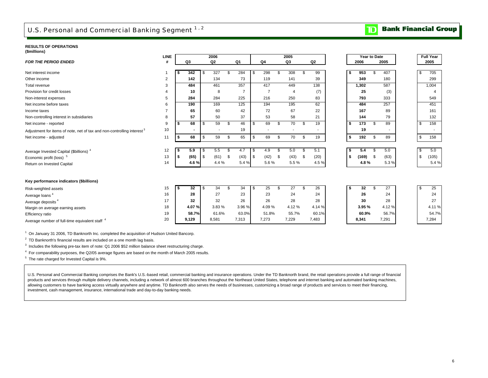# U.S. Personal and Commercial Banking Segment 1, 2

### **RESULTS OF OPERATIONS**

| (\$millions) |  |
|--------------|--|
|--------------|--|

|                                                                                    | <b>LINE</b>    |     |                          |    | 2006           |     |                |            |    | 2005           |      |                |    | <b>Year to Date</b> |                |       |    | <b>Full Year</b> |
|------------------------------------------------------------------------------------|----------------|-----|--------------------------|----|----------------|-----|----------------|------------|----|----------------|------|----------------|----|---------------------|----------------|-------|----|------------------|
| <b>FOR THE PERIOD ENDED</b>                                                        | #              |     | Q3                       |    | Q <sub>2</sub> |     | Q1             | Q4         |    | Q3             |      | Q <sub>2</sub> |    | 2006                |                | 2005  |    | 2005             |
|                                                                                    |                |     |                          |    |                |     |                |            |    |                |      |                |    |                     |                |       |    |                  |
| Net interest income                                                                |                | -55 | 342                      | \$ | 327            | \$. | 284            | \$<br>298  | -S | 308            |      | 99             | S  | 953                 | \$.            | 407   | \$ | 705              |
| Other income                                                                       | $\overline{2}$ |     | 142                      |    | 134            |     | 73             | 119        |    | 141            |      | 39             |    | 349                 |                | 180   |    | 299              |
| Total revenue                                                                      | 3              |     | 484                      |    | 461            |     | 357            | 417        |    | 449            |      | 138            |    | 1,302               |                | 587   |    | 1,004            |
| Provision for credit losses                                                        | Δ              |     | 10                       |    | 8              |     | $\overline{7}$ | 7          |    | $\overline{4}$ |      | (7)            |    | 25                  |                | (3)   |    | $\overline{4}$   |
| Non-interest expenses                                                              | 5              |     | 284                      |    | 284            |     | 225            | 216        |    | 250            |      | 83             |    | 793                 |                | 333   |    | 549              |
| Net income before taxes                                                            | 6              |     | 190                      |    | 169            |     | 125            | 194        |    | 195            |      | 62             |    | 484                 |                | 257   |    | 451              |
| Income taxes                                                                       |                |     | 65                       |    | 60             |     | 42             | 72         |    | 67             |      | 22             |    | 167                 |                | 89    |    | 161              |
| Non-controlling interest in subsidiaries                                           | 8              |     | 57                       |    | 50             |     | 37             | 53         |    | 58             |      | 21             |    | 144                 |                | 79    |    | 132              |
| Net income - reported                                                              | 9              | £.  | 68                       | \$ | 59             | \$  | 46             | \$<br>69   | \$ | 70             | -S   | 19             | \$ | 173                 | \$             | 89    | \$ | 158              |
| Adjustment for items of note, net of tax and non-controlling interest <sup>3</sup> | 10             |     | $\overline{\phantom{0}}$ |    |                |     | 19             |            |    |                |      |                |    | 19                  |                |       |    |                  |
| Net income - adjusted                                                              | 11             | s.  | 68                       | \$ | 59             | \$  | 65             | \$<br>69   | \$ | 70             | - \$ | 19             | \$ | 192                 | \$             | 89    | \$ | 158              |
|                                                                                    |                |     |                          |    |                |     |                |            |    |                |      |                |    |                     |                |       |    |                  |
| Average Invested Capital (\$billions) <sup>4</sup>                                 | 12             | ж   | 5.9                      | S  | 5.5            | \$  | 4.7            | \$<br>4.9  | \$ | 5.0            |      | 5.1            | s  | 5.4                 | \$             | 5.0   | \$ | 5.0              |
| Economic profit (loss) <sup>5</sup>                                                | 13             | \$  | (65)                     | \$ | (61)           | \$  | (43)           | \$<br>(42) | \$ | (43)           | - \$ | (20)           | \$ | (169)               | \$             | (63)  | \$ | (105)            |
| Return on Invested Capital                                                         | 14             |     | 4.6%                     |    | 4.4%           |     | 5.4%           | 5.6%       |    | 5.5%           |      | 4.5%           |    | 4.8%                |                | 5.3%  |    | 5.4%             |
|                                                                                    |                |     |                          |    |                |     |                |            |    |                |      |                |    |                     |                |       |    |                  |
|                                                                                    |                |     |                          |    |                |     |                |            |    |                |      |                |    |                     |                |       |    |                  |
| Key performance indicators (\$billions)                                            |                |     |                          |    |                |     |                |            |    |                |      |                |    |                     |                |       |    |                  |
| Risk-weighted assets                                                               | 15             | S   | $32\,$                   | S  | 34             | \$  | 34             | \$<br>25   | \$ | 27             |      | 26             | \$ | 32                  | $\mathfrak{s}$ | 27    | \$ | 25               |
| Average loans <sup>4</sup>                                                         | 16             |     | 28                       |    | 27             |     | 23             | 23         |    | 24             |      | 24             |    | 26                  |                | 24    |    | 24               |
| Average deposits <sup>4</sup>                                                      | 17             |     | 32                       |    | 32             |     | 26             | 26         |    | 28             |      | 28             |    | 30                  |                | 28    |    | 27               |
| Margin on average earning assets                                                   | 18             |     | 4.07%                    |    | 3.83%          |     | 3.96%          | 4.09%      |    | 4.12%          |      | 4.14 %         |    | 3.95%               |                | 4.12% |    | 4.11%            |
| Efficiency ratio                                                                   | 19             |     | 58.7%                    |    | 61.6%          |     | 63.0%          | 51.8%      |    | 55.7%          |      | 60.1%          |    | 60.9%               |                | 56.7% |    | 54.7%            |
| Average number of full-time equivalent staff <sup>4</sup>                          | 20             |     | 9,129                    |    | 8,581          |     | 7,313          | 7,273      |    | 7,229          |      | 7,483          |    | 8,341               |                | 7,291 |    | 7,284            |

1 On January 31 2006, TD Banknorth Inc. completed the acquisition of Hudson United Bancorp.

 $2$  TD Banknorth's financial results are included on a one month lag basis.

<sup>3</sup> Includes the following pre-tax item of note: Q1 2006 \$52 million balance sheet restructuring charge.

4 For comparability purposes, the Q2/05 average figures are based on the month of March 2005 results.

5 The rate charged for Invested Capital is 9%.

U.S. Personal and Commercial Banking comprises the Bank's U.S.-based retail, commercial banking and insurance operations. Under the TD Banknorth brand, the retail operations provide a full range of financial products and services through multiple delivery channels, including a network of almost 600 branches throughout the Northeast United States, telephone and internet banking and automated banking machines, allowing customers to have banking access virtually anywhere and anytime. TD Banknorth also serves the needs of businesses, customizing a broad range of products and services to meet their financing, investment, cash management, insurance, international trade and day-to-day banking needs.

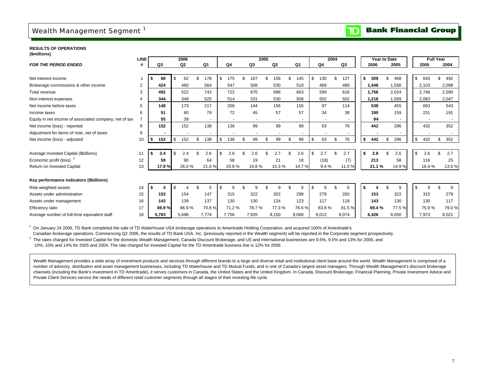# Wealth Management Segment<sup>1</sup>

#### **Bank Financial Group**  $\mathbf{D}$

**RESULTS OF OPERATIONS(\$millions)**

|                                                        | LINE |     |       | 2006           |       |           |           |          | 2005 |                |          |     |       | 2004 |       |     |       | <b>Year to Date</b> |    |        | <b>Full Year</b> |       |
|--------------------------------------------------------|------|-----|-------|----------------|-------|-----------|-----------|----------|------|----------------|----------|-----|-------|------|-------|-----|-------|---------------------|----|--------|------------------|-------|
| <b>FOR THE PERIOD ENDED</b>                            | #    |     | Q3    | Q <sub>2</sub> |       | Q1        | Q4        | Q3       |      | Q <sub>2</sub> | Q1       |     | Q4    |      | Q3    |     | 2006  | 2005                |    | 2005   |                  | 2004  |
|                                                        |      |     |       |                |       |           |           |          |      |                |          |     |       |      |       |     |       |                     |    |        |                  |       |
| Net interest income                                    |      |     | 68    |                | 62    | 178<br>\$ | \$        | 167      |      | 156            | 145      | \$  | 130   | \$   | 127   | \$  | 308   | \$.<br>468          | \$ | 643    | \$               | 492   |
| Brokerage commissions & other income                   | 2    |     | 424   |                | 460   | 564       | 547       | 508      |      | 530            | 518      |     | 469   |      | 489   |     | 1,448 | 1,556               |    | 2,103  |                  | 2,098 |
| Total revenue                                          | 3    |     | 492   |                | 522   | 742       | 722       | 675      |      | 686            | 663      |     | 599   |      | 616   |     | 1,756 | 2,024               |    | 2,746  |                  | 2,590 |
| Non-interest expenses                                  |      |     | 344   |                | 349   | 525       | 514       | 531      |      | 530            | 508      |     | 502   |      | 502   |     | 1,218 | 1,569               |    | 2,083  |                  | 2,047 |
| Net income before taxes                                | 5    |     | 148   |                | 173   | 217       | 208       | 144      |      | 156            | 155      |     | 97    |      | 114   |     | 538   | 455                 |    | 663    |                  | 543   |
| Income taxes                                           | 6    |     | 51    |                | 60    | 79        | 72        | 45       |      | 57             | 57       |     | 34    |      | 38    |     | 190   | 159                 |    | 231    |                  | 191   |
| Equity in net income of associated company, net of tax |      |     | 55    |                | 39    |           |           |          |      |                |          |     |       |      |       |     | 94    |                     |    |        |                  |       |
| Net income (loss) - reported                           | 8    |     | 152   |                | 152   | 138       | 136       | 99       |      | 99             | 98       |     | 63    |      | 76    |     | 442   | 296                 |    | 432    |                  | 352   |
| Adjustment for items of note, net of taxes             | 9    |     |       |                |       |           |           |          |      |                |          |     |       |      |       |     |       |                     |    |        |                  |       |
| Net income (loss) - adjusted                           | 10   | -\$ | 152   | \$             | 152   | \$<br>138 | \$<br>136 | \$<br>99 | \$   | 99             | \$<br>98 | \$  | 63    | \$   | 76    | \$  | 442   | 296<br>\$           | \$ | 432    | \$               | 352   |
|                                                        |      |     |       |                |       |           |           |          |      |                |          |     |       |      |       |     |       |                     |    |        |                  |       |
| Average Invested Capital (\$billions)                  | 11   | ∣S. | 3.4   |                | 2.4   | 2.6       | \$<br>2.6 |          |      |                | 2.6      | \$  | 2.7   |      | 2.7   | \$. | 2.8   | 2.6                 | \$ | 2.6    |                  | 2.7   |
| Economic profit (loss) <sup>2</sup>                    | 12   |     | 59    |                | 90    | 64        | 58        | 19       |      | 21             | 18       |     | (18)  |      | (7)   |     | 213   | 58                  |    | 116    |                  | 25    |
| Return on Invested Capital                             | 13   |     | 17.9% |                | 26.0% | 21.0%     | 20.8%     | 14.8%    |      | 15.3%          | 14.7%    |     | 9.4%  |      | 11.0% |     | 21.1% | 14.9%               |    | 16.4 % |                  | 13.0% |
|                                                        |      |     |       |                |       |           |           |          |      |                |          |     |       |      |       |     |       |                     |    |        |                  |       |
| Key performance indicators (\$billions)                |      |     |       |                |       |           |           |          |      |                |          |     |       |      |       |     |       |                     |    |        |                  |       |
| Risk-weighted assets                                   | 14   |     |       |                |       | 5         |           |          |      | 9              | 9        | \$. | 9     |      | 6     |     |       | 9                   | \$ | ٩      |                  | 9     |
| Assets under administration                            | 15   |     | 153   |                | 154   | 147       | 315       | 322      |      | 302            | 298      |     | 279   |      | 283   |     | 153   | 322                 |    | 315    |                  | 279   |
| Assets under management                                | 16   |     | 143   |                | 139   | 137       | 130       | 130      |      | 124            | 123      |     | 117   |      | 118   |     | 143   | 130                 |    | 130    |                  | 117   |
| Efficiency ratio                                       | 17   |     | 69.9% |                | 66.9% | 70.8%     | 71.2%     | 78.7%    |      | 77.3%          | 76.6%    |     | 83.8% |      | 81.5% |     | 69.4% | 77.5%               |    | 75.9%  |                  | 79.0% |
| Average number of full-time equivalent staff           | 18   |     | 5.783 | 5.698          |       | 7,774     | 7.756     | 7,935    |      | 8,150          | 8,068    |     | 8,012 |      | 8,074 |     | 6.426 | 8,050               |    | 7.973  |                  | 8,021 |

<sup>1</sup> On January 24 2006, TD Bank completed the sale of TD Waterhouse USA brokerage operations to Ameritrade Holding Corporation, and acquired 100% of Ameritrade's

Canadian brokerage operations. Commencing Q2 2006, the results of TD Bank USA, Inc. (previously reported in the Wealth segment) will be reported in the Corporate segment prospectively.

<sup>2</sup> The rates charged for Invested Capital for the domestic Wealth Management, Canada Discount Brokerage, and US and International businesses are 9.5%, 9.5% and 13% for 2006, and 10%, 10% and 14% for 2005 and 2004. The rate charged for Invested Capital for the TD Ameritrade business line is 12% for 2006.

Wealth Management provides a wide array of investment products and services through different brands to a large and diverse retail and institutional client base around the world. Wealth Management is comprised of a number of advisory, distribution and asset management businesses, including TD Waterhouse and TD Mutual Funds, and is one of Canada's largest asset managers. Through Wealth Management's discount brokerage channels (including the Bank's investment in TD Ameritrade), it serves customers in Canada, the United States and the United Kingdom. In Canada, Discount Brokerage, Financial Planning, Private Investment Advice and Private Client Services service the needs of different retail customer segments through all stages of their investing life cycle.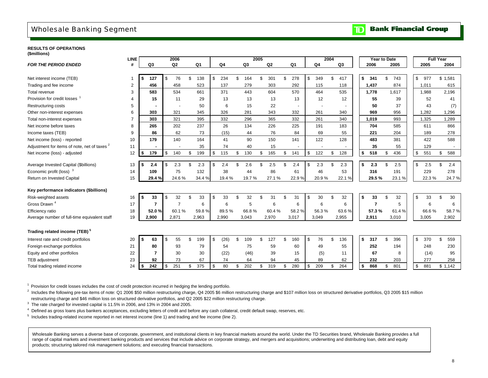## Wholesale Banking Segment

### **RESULTS OF OPERATIONS(\$millions)**

|                                              | LINE           |      |                          | 2006           |           |            |                |                | 2005 |       |                          |                | 2004 |                | Year to Date   |                |       | <b>Full Year</b>    |           |  |
|----------------------------------------------|----------------|------|--------------------------|----------------|-----------|------------|----------------|----------------|------|-------|--------------------------|----------------|------|----------------|----------------|----------------|-------|---------------------|-----------|--|
| <b>FOR THE PERIOD ENDED</b>                  | #              |      | Q3                       | Q <sub>2</sub> | Q1        | Q4         |                | Q <sub>3</sub> |      | Q2    | Q1                       | Q <sub>4</sub> |      | Q <sub>3</sub> | 2006           |                | 2005  | 2005                | 2004      |  |
|                                              |                |      |                          |                |           |            |                |                |      |       |                          |                |      |                |                |                |       |                     |           |  |
| Net interest income (TEB)                    | 1              |      | 127                      | \$<br>76       | \$<br>138 | \$<br>234  | \$             | 164            | \$   | 301   | \$<br>278                | \$<br>349      | \$   | 417            | \$<br>341      | \$             | 743   | $\mathbb{S}$<br>977 | \$1,581   |  |
| Trading and fee income                       | $\mathbf{2}$   |      | 456                      | 458            | 523       | 137        |                | 279            |      | 303   | 292                      | 115            |      | 118            | 1,437          |                | 874   | 1,011               | 615       |  |
| Total revenue                                | 3              |      | 583                      | 534            | 661       | 371        |                | 443            |      | 604   | 570                      | 464            |      | 535            | 1,778          |                | 1,617 | 1,988               | 2,196     |  |
| Provision for credit losses                  | $\overline{4}$ |      | 15                       | 11             | 29        | 13         |                | 13             |      | 13    | 13                       | 12             |      | 12             | 55             |                | 39    | 52                  | 41        |  |
| <b>Restructuring costs</b>                   | 5              |      |                          |                | 50        | 6          |                | 15             |      | 22    | $\overline{\phantom{a}}$ |                |      |                | 50             |                | 37    | 43                  | (7)       |  |
| Other non-interest expenses                  | 6              |      | 303                      | 321            | 345       | 326        |                | 281            |      | 343   | 332                      | 261            |      | 340            | 969            |                | 956   | 1,282               | 1,296     |  |
| Total non-interest expenses                  | $\overline{7}$ |      | 303                      | 321            | 395       | 332        |                | 296            |      | 365   | 332                      | 261            |      | 340            | 1,019          |                | 993   | 1,325               | 1,289     |  |
| Net income before taxes                      | 8              |      | 265                      | 202            | 237       | 26         |                | 134            |      | 226   | 225                      | 191            |      | 183            | 704            |                | 585   | 611                 | 866       |  |
| Income taxes (TEB)                           | 9              |      | 86                       | 62             | 73        | (15)       |                | 44             |      | 76    | 84                       | 69             |      | 55             | 221            |                | 204   | 189                 | 278       |  |
| Net income (loss) - reported                 | 10             |      | 179                      | 140            | 164       | 41         |                | 90             |      | 150   | 141                      | 122            |      | 128            | 483            |                | 381   | 422                 | 588       |  |
| Adjustment for items of note, net of taxes 2 | 11             |      | $\overline{\phantom{a}}$ |                | 35        | 74         |                | 40             |      | 15    | $\overline{\phantom{a}}$ |                |      |                | 35             |                | 55    | 129                 |           |  |
| Net income (loss) - adjusted                 | 12             | \$   | 179                      | \$<br>140      | \$<br>199 | \$<br>115  | \$             | 130            | \$   | 165   | \$<br>141                | \$<br>122      | \$   | 128            | \$<br>518      | \$             | 436   | \$<br>551           | \$<br>588 |  |
|                                              |                |      |                          |                |           |            |                |                |      |       |                          |                |      |                |                |                |       |                     |           |  |
| Average Invested Capital (\$billions)        | 13             | Ŝ.   | 2.4                      | \$<br>2.3      | \$<br>2.3 | \$<br>2.4  | $\mathfrak{L}$ | 2.6            | \$.  | 2.5   | \$<br>2.4                | \$<br>2.3      | \$   | 2.3            | \$<br>2.3      | $\mathfrak{L}$ | 2.5   | \$<br>2.5           | \$<br>2.4 |  |
| Economic profit (loss) $3$                   | 14             |      | 109                      | 75             | 132       | 38         |                | 44             |      | 86    | 61                       | 46             |      | 53             | 316            |                | 191   | 229                 | 278       |  |
| Return on Invested Capital                   | 15             |      | 29.4%                    | 24.6%          | 34.4 %    | 19.4%      |                | 19.7%          |      | 27.1% | 22.9%                    | 20.9%          |      | 22.1%          | 29.5%          |                | 23.1% | 22.3%               | 24.7%     |  |
| Key performance indicators (\$billions)      |                |      |                          |                |           |            |                |                |      |       |                          |                |      |                |                |                |       |                     |           |  |
| Risk-weighted assets                         | 16             | Ŝ.   | 33                       | \$<br>32       | \$<br>33  | \$<br>33   | \$             | 32             | \$.  | 31    | \$<br>31                 | \$<br>30       | \$   | 32             | \$<br>33       | \$.            | 32    | \$<br>33            | \$<br>30  |  |
| Gross Drawn <sup>4</sup>                     | 17             |      | $\overline{7}$           | $\overline{7}$ | 6         | 6          |                | 5              |      | 6     | 6                        | 6              |      | 6              | $\overline{7}$ |                | 5     | 6                   | 6         |  |
| Efficiency ratio                             | 18             |      | 52.0%                    | 60.1%          | 59.8%     | 89.5%      |                | 66.8%          |      | 60.4% | 58.2%                    | 56.3%          |      | 63.6%          | 57.3%          |                | 61.4% | 66.6%               | 58.7%     |  |
| Average number of full-time equivalent staff | 19             |      | 2,900                    | 2,871          | 2,963     | 2,990      |                | 3,043          |      | 2,970 | 3,017                    | 3,049          |      | 2,955          | 2,911          |                | 3,010 | 3,005               | 2,902     |  |
| Trading related income (TEB) <sup>3</sup>    |                |      |                          |                |           |            |                |                |      |       |                          |                |      |                |                |                |       |                     |           |  |
| Interest rate and credit portfolios          | 20             | Ŝ.   | 63                       | \$<br>55       | \$<br>199 | \$<br>(26) | \$             | 109            | \$   | 127   | \$<br>160                | \$<br>76       | \$   | 136            | \$<br>317      | \$.            | 396   | \$<br>370           | \$<br>559 |  |
| Foreign exchange portfolios                  | 21             |      | 80                       | 93             | 79        | 54         |                | 75             |      | 59    | 60                       | 49             |      | 55             | 252            |                | 194   | 248                 | 230       |  |
| Equity and other portfolios                  | 22             |      | 7                        | 30             | 30        | (22)       |                | (46)           |      | 39    | 15                       | (5)            |      | 11             | 67             |                | 8     | (14)                | 95        |  |
| TEB adjustment                               | 23             |      | 92                       | 73             | 67        | 74         |                | 64             |      | 94    | 45                       | 89             |      | 62             | 232            |                | 203   | 277                 | 258       |  |
| Total trading related income                 | 24             | - \$ | 242                      | \$<br>251      | \$<br>375 | \$<br>80   | \$             | 202            | \$   | 319   | \$<br>280                | \$<br>209      | \$   | 264            | \$<br>868      | \$             | 801   | \$<br>881           | \$1,142   |  |
|                                              |                |      |                          |                |           |            |                |                |      |       |                          |                |      |                |                |                |       |                     |           |  |

<sup>1</sup> Provision for credit losses includes the cost of credit protection incurred in hedging the lending portfolio.

 $^{2}$  Includes the following pre-tax items of note: Q1 2006 \$50 million restructuring charge, Q4 2005 \$6 million restructuring charge and \$107 million loss on structured derivative portfolios, Q3 2005 \$15 million restructuring charge and \$46 million loss on structured derivative portfolios, and Q2 2005 \$22 million restructuring charge.

 $3$  The rate charged for invested capital is 11.5% in 2006, and 13% in 2004 and 2005.

4 Defined as gross loans plus bankers acceptances, excluding letters of credit and before any cash collateral, credit default swap, reserves, etc.

 $<sup>5</sup>$  Includes trading-related income reported in net interest income (line 1) and trading and fee income (line 2).</sup>

Wholesale Banking serves a diverse base of corporate, government, and institutional clients in key financial markets around the world. Under the TD Securities brand, Wholesale Banking provides a full range of capital markets and investment banking products and services that include advice on corporate strategy, and mergers and acquisitions; underwriting and distributing loan, debt and equity products; structuring tailored risk management solutions; and executing financial transactions.

#### **Bank Financial Group**  $\mathbf{D}$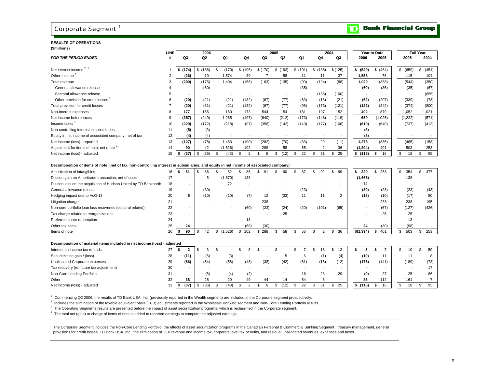# Corporate Segment<sup>1</sup>

### **RESULTS OF OPERATIONS(\$millions)**

|                                                                                                                                       | <b>LINE</b>    |                      |     | 2006           |                          |                          |                          | 2005                     |                          |                          | 2004                     |                          | Year to Date             |             | <b>Full Year</b> |
|---------------------------------------------------------------------------------------------------------------------------------------|----------------|----------------------|-----|----------------|--------------------------|--------------------------|--------------------------|--------------------------|--------------------------|--------------------------|--------------------------|--------------------------|--------------------------|-------------|------------------|
| <b>FOR THE PERIOD ENDED</b>                                                                                                           | #              | Q3                   |     | Q <sub>2</sub> | Q1                       | Q4                       | Q3                       | Q <sub>2</sub>           | Q1                       | Q4                       | Q3                       | 2006                     | 2005                     | 2005        | 2004             |
|                                                                                                                                       |                |                      |     |                |                          |                          |                          |                          |                          |                          |                          |                          |                          |             |                  |
| Net interest income <sup>2,3</sup>                                                                                                    |                | \$(174)              |     | \$(185)        | \$<br>(170)              | \$(195)                  | \$(170)                  | \$(193)                  | \$(101)                  | \$(135)                  | \$(125)                  | \$ (529)                 | \$ (464)                 | \$<br>(659) | \$<br>(454)      |
| Other Income <sup>3</sup>                                                                                                             | $\overline{2}$ | (26)                 |     | 10             | 1,574                    | 39                       | $\overline{7}$           | 58                       | 11                       | 11                       | 37                       | 1,558                    | 76                       | 115         | 104              |
| Total revenue                                                                                                                         | 3              | (200)                |     | (175)          | 1,404                    | (156)                    | (163)                    | (135)                    | (90)                     | (124)                    | (88)                     | 1,029                    | (388)                    | (544)       | (350)            |
| General allowance release                                                                                                             | Δ              |                      |     | (60)           | $\overline{\phantom{a}}$ |                          |                          |                          | (35)                     | $\overline{\phantom{a}}$ |                          | (60)                     | (35)                     | (35)        | (67)             |
| Sectoral allowance release                                                                                                            | 5              |                      |     |                | $\overline{\phantom{a}}$ |                          |                          |                          | $\overline{\phantom{a}}$ | (155)                    | (100)                    | $\overline{\phantom{a}}$ | $\overline{\phantom{a}}$ |             | (655)            |
| Other provision for credit losses <sup>3</sup>                                                                                        | 6              | (20)                 |     | (21)           | (21)                     | (132)                    | (67)                     | (77)                     | (63)                     | (18)                     | (21)                     | (62)                     | (207)                    | (339)       | (78)             |
| Total provision for credit losses                                                                                                     | $\overline{7}$ | (20)                 |     | (81)           | (21)                     | (132)                    | (67)                     | (77)                     | (98)                     | (173)                    | (121)                    | (122)                    | (242)                    | (374)       | (800)            |
| Non-interest expenses                                                                                                                 | 8              | 177                  |     | 155            | 160                      | 173                      | 544                      | 154                      | 181                      | 197                      | 152                      | 492                      | 879                      | 1,052       | 1,021            |
| Net income before taxes                                                                                                               | 9              | (357)                |     | (249)          | 1,265                    | (197)                    | (640)                    | (212)                    | (173)                    | (148)                    | (119)                    | 659                      | (1,025)                  | (1,222)     | (571)            |
| Income taxes <sup>2</sup>                                                                                                             | 10             | (229)                |     | (172)          | (218)                    | (97)                     | (358)                    | (142)                    | (140)                    | (177)                    | (108)                    | (619)                    | (640)                    | (737)       | (413)            |
| Non-controlling interest in subsidiaries                                                                                              | 11             | (5)                  |     | (3)            | $\overline{\phantom{a}}$ |                          |                          |                          |                          |                          |                          | (8)                      | $\overline{\phantom{a}}$ |             |                  |
| Equity in net income of associated company, net of tax                                                                                | 12             | (4)                  |     | (4)            | $\overline{\phantom{a}}$ | $\overline{\phantom{a}}$ | $\overline{\phantom{a}}$ | $\overline{\phantom{a}}$ | $\overline{\phantom{a}}$ | $\overline{\phantom{a}}$ | $\overline{\phantom{a}}$ | (8)                      | $\overline{\phantom{a}}$ |             |                  |
| Net income (loss) - reported                                                                                                          | 13             | (127)                |     | (78)           | 1,483                    | (100)                    | (282)                    | (70)                     | (33)                     | 29                       | (11)                     | 1,278                    | (385)                    | (485)       | (158)            |
| Adjustment for items of note, net of tax <sup>4</sup>                                                                                 | 14             | 90                   |     | 42             | (1,526)                  | 102                      | 288                      | 58                       | 55                       | 2                        | 36                       | (1, 394)                 | 401                      | 503         | 253              |
| Net income (loss) - adjusted                                                                                                          | 15             | (37)<br>\$           | \$  | (36)           | \$<br>(43)               | \$<br>$\overline{2}$     | \$<br>6                  | \$<br>(12)               | 22<br>\$                 | 31<br>\$                 | \$<br>25                 | \$<br>(116)              | \$<br>16                 | \$<br>18    | \$<br>95         |
| Decomposition of items of note (net of tax, non-controlling interest in subsidiaries, and equity in net income of associated company) |                |                      |     |                |                          |                          |                          |                          |                          |                          |                          |                          |                          |             |                  |
| Amortization of intangibles                                                                                                           | 16             | 61<br>-S             | \$. | 86             | \$<br>82                 | 86<br>\$                 | ደ<br>91                  | \$<br>90                 | \$<br>87                 | 92<br>\$                 | \$<br>99                 | 229<br>\$                | \$<br>268                | \$<br>354   | \$<br>477        |
| Dilution gain on Ameritrade transaction, net of costs                                                                                 | 17             |                      |     | 5              | (1,670)                  | 138                      |                          |                          |                          |                          |                          | (1,665)                  | $\overline{\phantom{a}}$ | 138         |                  |
| Dilution loss on the acquisition of Hudson United by TD Banknorth                                                                     | 18             |                      |     |                | 72                       |                          |                          |                          |                          |                          |                          | 72                       |                          |             |                  |
| General allowance release                                                                                                             | 19             | $\blacksquare$       |     | (39)           |                          |                          |                          |                          | (23)                     |                          |                          | (39)                     | (23)                     | (23)        | (43)             |
| Hedging impact due to AcG-13                                                                                                          | 20             | 5                    |     | (10)           | (10)                     | (7)                      | 12                       | (33)                     | 11                       | 11                       | $\overline{2}$           | (15)                     | (10)                     | (17)        | 50               |
| Litigation charge                                                                                                                     | 21             |                      |     |                |                          | $\overline{\phantom{a}}$ | 238                      |                          |                          |                          |                          |                          | 238                      | 238         | 195              |
| Non-core portfolio loan loss recoveries (sectoral related)                                                                            | 22             |                      |     |                | $\overline{\phantom{a}}$ | (60)                     | (23)                     | (24)                     | (20)                     | (101)                    | (65)                     |                          | (67)                     | (127)       | (426)            |
| Tax charge related to reorganizations                                                                                                 | 23             |                      |     |                |                          |                          |                          | 25                       |                          |                          |                          |                          | 25                       | 25          |                  |
| Preferred share redemption                                                                                                            | 24             |                      |     |                | $\overline{\phantom{a}}$ | 13                       |                          |                          |                          |                          |                          |                          | $\overline{\phantom{a}}$ | 13          |                  |
| Other tax items                                                                                                                       | 25             | 24                   |     |                |                          | (68)                     | (30)                     |                          |                          |                          |                          | 24                       | (30)                     | (98)        |                  |
| Items of note                                                                                                                         | 26             | 90                   | \$  | 42             | \$<br>(1,526)            | \$<br>102                | \$ 288                   | \$<br>58                 | \$<br>55                 | $\mathbf{\hat{s}}$<br>2  | 36<br>\$                 | \$(1,394)                | \$<br>401                | \$<br>503   | 253<br>\$        |
| Decomposition of material items included in net income (loss) - adjusted                                                              |                |                      |     |                |                          |                          |                          |                          |                          |                          |                          |                          |                          |             |                  |
| Interest on income tax refunds                                                                                                        | 27             | $\overline{2}$<br>\$ | \$  | 3              | \$                       | \$<br>3                  | \$                       | \$                       | \$<br>$\overline{7}$     | 18<br>\$                 | \$<br>12                 | 5<br>\$                  | \$<br>$\overline{7}$     | \$<br>10    | \$<br>50         |
| Securitization gain / (loss)                                                                                                          | 28             | (11)                 |     | (5)            | (3)                      |                          |                          | 5                        | 6                        | (1)                      | (4)                      | (19)                     | 11                       | 11          | 8                |
| Unallocated Corporate expenses                                                                                                        | 29             | (66)                 |     | (54)           | (56)                     | (48)                     | (38)                     | (42)                     | (61)                     | (15)                     | (12)                     | (176)                    | (141)                    | (189)       | (73)             |
| Tax recovery (re: future tax adjustment)                                                                                              | 30             |                      |     |                | $\overline{\phantom{a}}$ |                          |                          |                          | $\overline{a}$           | $\overline{\phantom{a}}$ | $\overline{a}$           |                          | $\overline{\phantom{a}}$ |             | 17               |
| Non-Core Lending Portfolio                                                                                                            | 31             |                      |     | (5)            | (4)                      | (2)                      |                          | 11                       | 16                       | 23                       | 29                       | (9)                      | 27                       | 25          | 86               |
| Other                                                                                                                                 | 32             | 38                   |     | 25             | 20                       | 49                       | 44                       | 14                       | 54                       | 6                        |                          | 83                       | 112                      | 161         | $\overline{7}$   |
| Net income (loss) - adjusted                                                                                                          | 33             | (37)<br>s.           | \$  | (36)           | \$<br>(43)               | \$<br>2                  | 6<br>\$                  | \$<br>(12)               | 22<br>\$                 | 31<br>\$                 | 25<br>\$                 | (116)<br>\$              | 16<br>\$                 | \$<br>18    | 95<br>\$         |
|                                                                                                                                       |                |                      |     |                |                          |                          |                          |                          |                          |                          |                          |                          |                          |             |                  |

1 Commencing Q2 2006, the results of TD Bank USA, Inc. (previously reported in the Wealth segment) are included in the Corporate segment prospectively.

<sup>2</sup> Includes the elimination of the taxable equivalent basis (TEB) adjustments reported in the Wholesale Banking segment and Non-Core Lending Portfolio results.

<sup>3</sup> The Operating Segments results are presented before the impact of asset securitization programs, which is reclassified in the Corporate segment.

4 The total net (gain) or charge of items of note is added to reported earnings to compute the adjusted earnings.

The Corporate Segment includes the Non-Core Lending Portfolio, the effects of asset securitization programs in the Canadian Personal & Commercial Banking Segment, treasury management, general provisions for credit losses, TD Bank USA, Inc., the elimination of TEB revenue and income tax, corporate level tax benefits, and residual unallocated revenues, expenses and taxes.

# **TD** Bank Financial Group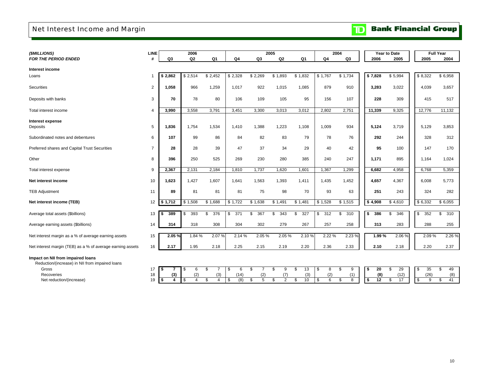# Net Interest Income and Margin

### **Bank Financial Group**  $\mathbf{D}$

| (\$MILLIONS)                                               | LINE           |           | 2006      |                |                |           | 2005           |                | 2004      |           |           | Year to Date | <b>Full Year</b> |           |
|------------------------------------------------------------|----------------|-----------|-----------|----------------|----------------|-----------|----------------|----------------|-----------|-----------|-----------|--------------|------------------|-----------|
| <b>FOR THE PERIOD ENDED</b>                                | #              | Q3        | Q2        | Q <sub>1</sub> | Q <sub>4</sub> | Q3        | Q <sub>2</sub> | Q <sub>1</sub> | Q4        | Q3        | 2006      | 2005         | 2005             | 2004      |
| Interest income                                            |                |           |           |                |                |           |                |                |           |           |           |              |                  |           |
| Loans                                                      |                | \$2,862   | \$2,514   | \$2,452        | \$2,328        | \$2,269   | \$1,893        | \$1,832        | \$1,767   | \$1,734   | \$7,828   | \$5,994      | \$8,322          | \$6,958   |
| Securities                                                 | 2              | 1,058     | 966       | 1,259          | 1,017          | 922       | 1,015          | 1,085          | 879       | 910       | 3,283     | 3,022        | 4,039            | 3,657     |
| Deposits with banks                                        | 3              | 70        | 78        | 80             | 106            | 109       | 105            | 95             | 156       | 107       | 228       | 309          | 415              | 517       |
| Total interest income                                      | 4              | 3,990     | 3,558     | 3,791          | 3,451          | 3,300     | 3,013          | 3,012          | 2,802     | 2,751     | 11,339    | 9,325        | 12,776           | 11,132    |
| Interest expense<br>Deposits                               | 5              | 1,836     | 1.754     | 1,534          | 1,410          | 1,388     | 1,223          | 1,108          | 1,009     | 934       | 5,124     | 3,719        | 5,129            | 3,853     |
| Subordinated notes and debentures                          | 6              | 107       | 99        | 86             | 84             | 82        | 83             | 79             | 78        | 76        | 292       | 244          | 328              | 312       |
| Preferred shares and Capital Trust Securities              | $\overline{7}$ | 28        | 28        | 39             | 47             | 37        | 34             | 29             | 40        | 42        | 95        | 100          | 147              | 170       |
| Other                                                      | 8              | 396       | 250       | 525            | 269            | 230       | 280            | 385            | 240       | 247       | 1,171     | 895          | 1,164            | 1,024     |
| Total interest expense                                     | 9              | 2,367     | 2,131     | 2,184          | 1,810          | 1,737     | 1,620          | 1,601          | 1,367     | 1,299     | 6,682     | 4,958        | 6,768            | 5,359     |
| Net interest income                                        | 10             | 1,623     | 1,427     | 1,607          | 1,641          | 1,563     | 1,393          | 1,411          | 1,435     | 1,452     | 4,657     | 4,367        | 6,008            | 5,773     |
| <b>TEB Adjustment</b>                                      | 11             | 89        | 81        | 81             | 81             | 75        | 98             | 70             | 93        | 63        | 251       | 243          | 324              | 282       |
| Net interest income (TEB)                                  | 12             | \$1,712   | \$1,508   | \$1,688        | \$1,722        | \$1,638   | \$1,491        | \$1,481        | \$1,528   | \$1,515   | \$4,908   | \$4,610      | \$6,332          | \$6,055   |
| Average total assets (\$billions)                          | 13             | 389<br>\$ | 393<br>\$ | 376<br>\$.     | 371<br>\$      | 367<br>\$ | 343<br>\$      | 327<br>\$      | \$<br>312 | 310<br>\$ | s.<br>386 | \$<br>346    | \$<br>352        | \$<br>310 |
| Average earning assets (\$billions)                        | 14             | 314       | 318       | 308            | 304            | 302       | 279            | 267            | 257       | 258       | 313       | 283          | 288              | 255       |
| Net interest margin as a % of average earning assets       | 15             | 2.05%     | 1.84%     | 2.07%          | 2.14 %         | 2.05%     | 2.05 %         | 2.10%          | 2.22 %    | 2.23 %    | 1.99%     | 2.06%        | 2.09%            | 2.26 %    |
| Net interest margin (TEB) as a % of average earning assets | 16             | 2.17      | 1.95      | 2.18           | 2.25           | 2.15      | 2.19           | 2.20           | 2.36      | 2.33      | 2.10      | 2.18         | 2.20             | 2.37      |
|                                                            |                |           |           |                |                |           |                |                |           |           |           |              |                  |           |

#### **Impact on NII from impaired loans**

Reduction/(increase) in NII from impaired loans

Gross 17

Recoveries 18 Net reduction/(increase) 19

|     |     |     |     |      |     |  |     | - AD | 13  |     |         | . \$ | 20  | 29<br>$-$ |  | 35   | 49             |
|-----|-----|-----|-----|------|-----|--|-----|------|-----|-----|---------|------|-----|-----------|--|------|----------------|
| R I | (3) | (2) | (3) |      |     |  |     |      | (3) | (2) | (1)     |      | (8) | (12)      |  | (26) | (8)            |
|     |     |     |     | - \$ | (8) |  | 5 C |      | 10  |     | $\circ$ |      |     |           |  |      | 4 <sup>1</sup> |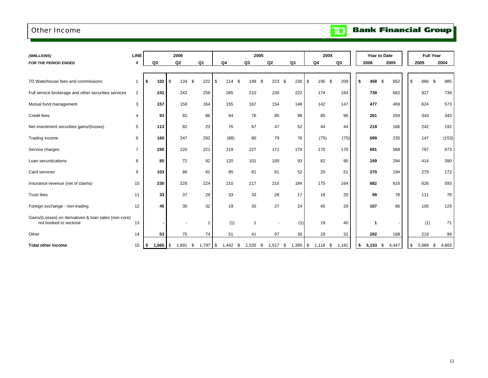### Other Income

**Bank Financial Group**  $\mathbf{D}$ 

| (\$MILLIONS)                                                                    | <b>LINE</b>    |                            | 2006      |                  |            | 2005        |            |                | 2004              |       |             | Year to Date  | <b>Full Year</b> |              |
|---------------------------------------------------------------------------------|----------------|----------------------------|-----------|------------------|------------|-------------|------------|----------------|-------------------|-------|-------------|---------------|------------------|--------------|
| <b>FOR THE PERIOD ENDED</b>                                                     | #              | Q <sub>3</sub>             | Q2        | Q <sub>1</sub>   | Q4         | Q3          | Q2         | Q <sub>1</sub> | Q <sub>4</sub>    | Q3    | 2006        | 2005          | 2005             | 2004         |
|                                                                                 |                |                            |           |                  |            |             |            |                |                   |       |             |               |                  |              |
| TD Waterhouse fees and commissions                                              | $\mathbf{1}$   | 102<br>\$                  | \$<br>134 | -\$<br>222       | \$<br>214  | - \$<br>199 | 223<br>\$  | 230<br>\$      | \$<br>195<br>- \$ | 209   | 458<br>\$   | - \$<br>652   | 866<br>\$        | 985<br>\$    |
| Full service brokerage and other securities services                            | $\overline{2}$ | 241                        | 242       | 256              | 265        | 210         | 230        | 222            | 174               | 164   | 739         | 662           | 927              | 738          |
| Mutual fund management                                                          | 3              | 157                        | 156       | 164              | 155        | 167         | 154        | 148            | 142               | 147   | 477         | 469           | 624              | 573          |
| Credit fees                                                                     | 4              | 93                         | 82        | 86               | 84         | 76          | 85         | 98             | 80                | 96    | 261         | 259           | 343              | 343          |
| Net investment securities gains/(losses)                                        | 5              | 113                        | 82        | 23               | 76         | 67          | 47         | 52             | 44                | 44    | 218         | 166           | 242              | 192          |
| Trading income                                                                  | 6              | 160                        | 247       | 292              | (88)       | 80          | 79         | 76             | (75)              | (75)  | 699         | 235           | 147              | (153)        |
| Service charges                                                                 | $\overline{7}$ | 250                        | 220       | 221              | 219        | 227         | 171        | 170            | 170               | 170   | 691         | 568           | 787              | 673          |
| Loan securitizations                                                            | 8              | 85                         | 72        | 92               | 120        | 101         | 100        | 93             | 82                | 90    | 249         | 294           | 414              | 390          |
| Card services                                                                   | 9              | 103                        | 86        | 81               | 85         | 81          | 61         | 52             | 20                | 51    | 270         | 194           | 279              | 172          |
| Insurance revenue (net of claims)                                               | 10             | 230                        | 228       | 224              | 210        | 217         | 215        | 184            | 175               | 164   | 682         | 616           | 826              | 593          |
| <b>Trust fees</b>                                                               | 11             | 33                         | 37        | 29               | 33         | 33          | 28         | 17             | 18                | 20    | 99          | 78            | 111              | 78           |
| Foreign exchange - non-trading                                                  | 12             | 45                         | 30        | 32               | 19         | 35          | 27         | 24             | 45                | 29    | 107         | 86            | 105              | 129          |
| Gains/(Losses) on derivatives & loan sales (non-core)<br>not booked to sectoral | 13             |                            |           |                  | (1)        | -1          |            | (1)            | 19                | 40    |             |               | (1)              | 71           |
| Other                                                                           | 14             | 53                         | 75        | 74               | 51         | 41          | 97         | 30             | 29                | 32    | 202         | 168           | 219              | 99           |
| <b>Total other income</b>                                                       | 15             | $1,665$ $\sqrt{5}$<br>l \$ | 1,691     | $1,797$ \$<br>\$ | $1,442$ \$ | 1,535 \$    | $1,517$ \$ | $1,395$ \$     | $1,118$ \$        | 1,181 | 5,153<br>\$ | 4,447<br>- \$ | 5,889<br>\$      | 4,883<br>-\$ |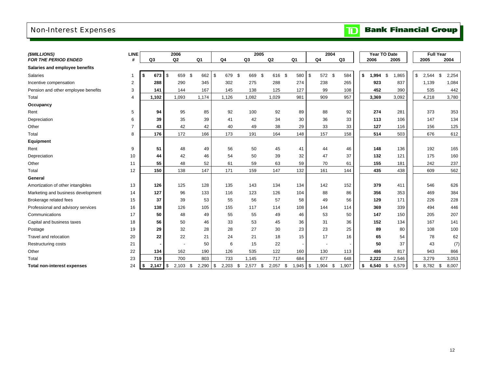# Non-Interest Expenses

# **TD** Bank Financial Group

| (\$MILLIONS)                        | <b>LINE</b>    |           | 2006           |                  |           |                  | 2005      |               |                          | 2004  |      |       | Year TO Date | <b>Full Year</b> |             |
|-------------------------------------|----------------|-----------|----------------|------------------|-----------|------------------|-----------|---------------|--------------------------|-------|------|-------|--------------|------------------|-------------|
| <b>FOR THE PERIOD ENDED</b>         | #              | Q3        | Q <sub>2</sub> | Q1               | Q4        | Q3               | Q2        | Q1            | Q4                       | Q3    |      | 2006  | 2005         | 2005             | 2004        |
| Salaries and employee benefits      |                |           |                |                  |           |                  |           |               |                          |       |      |       |              |                  |             |
| Salaries                            | 1              | 673<br>\$ | \$<br>659      | \$<br>662        | \$<br>679 | 669<br>\$        | \$<br>616 | \$<br>580     | \$<br>572 \$             | 584   | \$   | 1,994 | \$<br>,865   | \$<br>2,544      | \$<br>2,254 |
| Incentive compensation              | 2              | 288       | 290            | 345              | 302       | 275              | 288       | 274           | 238                      | 265   |      | 923   | 837          | 1,139            | 1,084       |
| Pension and other employee benefits | 3              | 141       | 144            | 167              | 145       | 138              | 125       | 127           | 99                       | 108   |      | 452   | 390          | 535              | 442         |
| Total                               | $\overline{4}$ | 1,102     | 1,093          | 1,174            | 1,126     | 1,082            | 1,029     | 981           | 909                      | 957   |      | 3,369 | 3,092        | 4,218            | 3,780       |
| Occupancy                           |                |           |                |                  |           |                  |           |               |                          |       |      |       |              |                  |             |
| Rent                                | 5              | 94        | 95             | 85               | 92        | 100              | 92        | 89            | 88                       | 92    |      | 274   | 281          | 373              | 353         |
| Depreciation                        | 6              | 39        | 35             | 39               | 41        | 42               | 34        | 30            | 36                       | 33    |      | 113   | 106          | 147              | 134         |
| Other                               | $\overline{7}$ | 43        | 42             | 42               | 40        | 49               | 38        | 29            | 33                       | 33    |      | 127   | 116          | 156              | 125         |
| Total                               | 8              | 176       | 172            | 166              | 173       | 191              | 164       | 148           | 157                      | 158   |      | 514   | 503          | 676              | 612         |
| <b>Equipment</b>                    |                |           |                |                  |           |                  |           |               |                          |       |      |       |              |                  |             |
| Rent                                | $9\,$          | 51        | 48             | 49               | 56        | 50               | 45        | 41            | 44                       | 46    |      | 148   | 136          | 192              | 165         |
| Depreciation                        | 10             | 44        | 42             | 46               | 54        | 50               | 39        | 32            | 47                       | 37    |      | 132   | 121          | 175              | 160         |
| Other                               | 11             | 55        | 48             | 52               | 61        | 59               | 63        | 59            | 70                       | 61    |      | 155   | 181          | 242              | 237         |
| Total                               | 12             | 150       | 138            | 147              | 171       | 159              | 147       | 132           | 161                      | 144   |      | 435   | 438          | 609              | 562         |
| General                             |                |           |                |                  |           |                  |           |               |                          |       |      |       |              |                  |             |
| Amortization of other intangibles   | 13             | 126       | 125            | 128              | 135       | 143              | 134       | 134           | 142                      | 152   |      | 379   | 411          | 546              | 626         |
| Marketing and business development  | 14             | 127       | 96             | 133              | 116       | 123              | 126       | 104           | 88                       | 86    |      | 356   | 353          | 469              | 384         |
| Brokerage related fees              | 15             | 37        | 39             | 53               | 55        | 56               | 57        | 58            | 49                       | 56    |      | 129   | 171          | 226              | 228         |
| Professional and advisory services  | 16             | 138       | 126            | 105              | 155       | 117              | 114       | 108           | 144                      | 114   |      | 369   | 339          | 494              | 446         |
| Communications                      | 17             | 50        | 48             | 49               | 55        | 55               | 49        | 46            | 53                       | 50    |      | 147   | 150          | 205              | 207         |
| Capital and business taxes          | 18             | 56        | 50             | 46               | 33        | 53               | 45        | 36            | 31                       | 36    |      | 152   | 134          | 167              | 141         |
| Postage                             | 19             | 29        | 32             | 28               | 28        | 27               | 30        | 23            | 23                       | 25    |      | 89    | 80           | 108              | 100         |
| Travel and relocation               | 20             | 22        | 22             | 21               | 24        | 21               | 18        | 15            | 17                       | 16    |      | 65    | 54           | 78               | 62          |
| <b>Restructuring costs</b>          | 21             |           |                | 50               | 6         | 15               | 22        |               | $\overline{\phantom{a}}$ |       |      | 50    | 37           | 43               | (7)         |
| Other                               | 22             | 134       | 162            | 190              | 126       | 535              | 122       | 160           | 130                      | 113   |      | 486   | 817          | 943              | 866         |
| Total                               | 23             | 719       | 700            | 803              | 733       | 1,145            | 717       | 684           | 677                      | 648   |      | 2,222 | 2,546        | 3,279            | 3,053       |
| <b>Total non-interest expenses</b>  | 24             | \$        | 2,103          | $2,290$ \$<br>\$ | 2,203     | $2,577$ \$<br>\$ | 2,057     | - \$<br>1,945 | \$<br>$1,904$ \$         | 1,907 | - \$ | 6.540 | \$<br>6,579  | \$<br>8,782 \$   | 8,007       |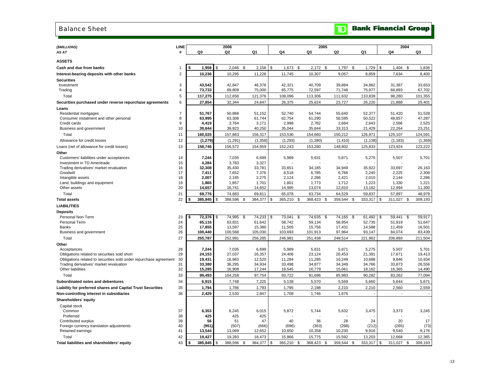### Balance Sheet

| <b>TD</b> Bank Financial Group |  |
|--------------------------------|--|
|--------------------------------|--|

| (\$MILLIONS)<br>AS AT                                             | LINE<br>#        | Q3                 |            | 2006<br>Q2       |    | Q1               |      | Q4               |      | 2005<br>Q3       | Q2               |          | Q1               |    | Q4               | 2004 | Q3               |
|-------------------------------------------------------------------|------------------|--------------------|------------|------------------|----|------------------|------|------------------|------|------------------|------------------|----------|------------------|----|------------------|------|------------------|
|                                                                   |                  |                    |            |                  |    |                  |      |                  |      |                  |                  |          |                  |    |                  |      |                  |
| <b>ASSETS</b>                                                     |                  |                    |            |                  |    |                  |      |                  |      |                  |                  |          |                  |    |                  |      |                  |
| Cash and due from banks                                           | 1                | 1,958              | \$         | 2,046            | \$ | 2,158            | \$   | 1,673            | \$   | $2,172$ \$       | 1,797            | \$       | 1,729            | \$ | 1,404            | \$   | 1,836            |
| Interest-bearing deposits with other banks                        | $\overline{2}$   | 10,236             |            | 10,295           |    | 11,226           |      | 11,745           |      | 10,307           | 9,057            |          | 8,859            |    | 7,634            |      | 8,400            |
| <b>Securities</b>                                                 |                  |                    |            |                  |    |                  |      |                  |      |                  |                  |          |                  |    |                  |      |                  |
| Investment                                                        | 3                | 43,542             |            | 42,847           |    | 46,376           |      | 42,321           |      | 40.709           | 39,884           |          | 34,862           |    | 31,387           |      | 33,653           |
| Trading                                                           | 4                | 73,733             |            | 69,809           |    | 75,000           |      | 65,775           |      | 72,597           | 71,748           |          | 75,977           |    | 66,893           |      | 67,702           |
| Total                                                             | 5                | 117,275            |            | 112,656          |    | 121,376          |      | 108,096          |      | 113,306          | 111,632          |          | 110,839          |    | 98,280           |      | 101,355          |
| Securities purchased under reverse repurchase agreements          | $\,6\,$          | 27,854             |            | 32,344           |    | 24,847           |      | 26,375           |      | 25,624           | 23,727           |          | 26,220           |    | 21,888           |      | 25,401           |
| Loans                                                             |                  |                    |            |                  |    |                  |      |                  |      |                  |                  |          |                  |    |                  |      |                  |
| Residential mortgages                                             | $\overline{7}$   | 51,767             |            | 50,868           |    | 51,152           |      | 52,740           |      | 54,744           | 55,640           |          | 52,377           |    | 51,420           |      | 51,528           |
| Consumer instalment and other personal                            | 8                | 63,995             |            | 63,308           |    | 61,744           |      | 62,754           |      | 61,290           | 58,595           |          | 50,522           |    | 48,857           |      | 47,287           |
| Credit cards                                                      | $\boldsymbol{9}$ | 4,419              |            | 3,764            |    | 3,171            |      | 2,998            |      | 2,782            | 2,664            |          | 2,643            |    | 2,566            |      | 2,525            |
| Business and government                                           | 10               | 39,844             |            | 39,923           |    | 40,250           |      | 35,044           |      | 35,844           | 33,313           |          | 21,429           |    | 22,264           |      | 23,251           |
| Total                                                             | 11               | 160,025            |            | 157,863          |    | 156,317          |      | 153,536          |      | 154,660          | 150,212          |          | 126,971          |    | 125,107          |      | 124,591          |
| Allowance for credit losses                                       | 12               | (1, 279)           |            | (1, 291)         |    | (1, 358)         |      | (1, 293)         |      | (1,380)          | (1, 410)         |          | (1, 138)         |    | (1, 183)         |      | (1, 369)         |
| Loans (net of allowance for credit losses)                        | 13               | 158,746            |            | 156,572          |    | 154,959          |      | 152,243          |      | 153,280          | 148,802          |          | 125,833          |    | 123,924          |      | 123,222          |
| Other                                                             |                  |                    |            |                  |    |                  |      |                  |      |                  |                  |          |                  |    |                  |      |                  |
| Customers' liabilities under acceptances                          | 14               | 7,244              |            | 7,035            |    | 6,699            |      | 5,989            |      | 5,631            | 5,871            |          | 5,275            |    | 5,507            |      | 5,701            |
| Investment in TD Ameritrade                                       | 15               | 4,284              |            | 3,783            |    | 3,327            |      |                  |      |                  |                  |          |                  |    |                  |      |                  |
| Trading derivatives' market revaluation                           | 16               | 32,308             |            | 35,430           |    | 33,781           |      | 33,651           |      | 34,185           | 34,949           |          | 35,922           |    | 33,697           |      | 26,163           |
| Goodwill<br>Intangible assets                                     | 17<br>18         | 7,411<br>2,007     |            | 7,652<br>2,185   |    | 7,376<br>2,275   |      | 6,518<br>2,124   |      | 6,785<br>2,286   | 6,766<br>2,421   |          | 2,245<br>2,010   |    | 2,225<br>2,144   |      | 2,308<br>2,286   |
| Land, buildings and equipment                                     | 19               | 1,865              |            | 1,857            |    | 1,701            |      | 1,801            |      | 1,773            | 1,712            |          | 1,223            |    | 1,330            |      | 1,221            |
| Other assets                                                      | 20               | 14,657             |            | 16,741           |    | 14,652           |      | 14,995           |      | 13,074           | 12,810           |          | 13,162           |    | 12,994           |      | 11,300           |
| Total                                                             | 21               | 69,776             |            | 74,683           |    | 69,811           |      | 65,078           |      | 63,734           | 64,529           |          | 59,837           |    | 57,897           |      | 48,979           |
| <b>Total assets</b>                                               | 22               | \$<br>385,845      | \$         | 388,596          | \$ | 384,377          | \$   | 365,210 \$       |      | 368,423<br>\$    | 359,544          | \$       | 333,317          | \$ | 311,027          | \$   | 309,193          |
| <b>LIABILITIES</b>                                                |                  |                    |            |                  |    |                  |      |                  |      |                  |                  |          |                  |    |                  |      |                  |
| <b>Deposits</b>                                                   |                  |                    |            |                  |    |                  |      |                  |      |                  |                  |          |                  |    |                  |      |                  |
| Personal Non-Term                                                 | 23               | 72,376<br>\$       | $\sqrt{3}$ | 74,995 \$        |    | 74,233           | \$   | 73,041           | \$   | 74,635 \$        | 74.165           | <b>S</b> | 61,492           | \$ | 59,441           | - \$ | 59.917           |
| <b>Personal Term</b>                                              | 24               | 65,116             |            | 63,831           |    | 61,642           |      | 58,742           |      | 59,134           | 58,954           |          | 52,735           |    | 51,919           |      | 51,647           |
| <b>Banks</b>                                                      | 25               | 17,855             |            | 13,597           |    | 15,380           |      | 11,505           |      | 15,756           | 17,431           |          | 14,588           |    | 11,459           |      | 16,501           |
| Business and government                                           | 26               | 100,440            |            | 100,568          |    | 105,030          |      | 103,693          |      | 101,913          | 97,964           |          | 93,147           |    | 84,074           |      | 83,439           |
| Total                                                             | 27               | 255,787            |            | 252,991          |    | 256,285          |      | 246,981          |      | 251,438          | 248,514          |          | 221,962          |    | 206,893          |      | 211,504          |
| Other                                                             |                  |                    |            |                  |    |                  |      |                  |      |                  |                  |          |                  |    |                  |      |                  |
| Acceptances                                                       | 28               | 7,244              |            | 7,035            |    | 6,699            |      | 5,989            |      | 5,631            | 5,871            |          | 5,275            |    | 5,507            |      | 5,701            |
| Obligations related to securities sold short                      | 29               | 24,153             |            | 27,037           |    | 26,357           |      | 24,406           |      | 23,124           | 20,453           |          | 21,391           |    | 17,671           |      | 19,413           |
| Obligations related to securities sold under repurchase agreement | 30               | 19,431             |            | 16,983           |    | 12,520           |      | 11,284           |      | 11,285           | 10,249           |          | 10,688           |    | 9,846            |      | 10,934           |
| Trading derivatives' market revaluation<br>Other liabilities      | 31<br>32         | 33,380<br>15,285   |            | 36,295<br>16,908 |    | 34,934<br>17,244 |      | 33,498<br>18,545 |      | 34,877<br>16,779 | 34,349<br>15,061 |          | 34,766<br>18,162 |    | 33,873<br>16,365 |      | 26,556<br>14,490 |
| Total                                                             | 33               | 99,493             |            | 104,258          |    | 97,754           |      | 93,722           |      | 91,696           | 85,983           |          | 90,282           |    | 83,262           |      | 77,094           |
| Subordinated notes and debentures                                 | 34               | 6,915              |            | 7,748            |    | 7,225            |      | 5,138            |      | 5,570            | 5,569            |          | 5,660            |    | 5,644            |      | 5,671            |
| Liability for preferred shares and Capital Trust Securities       | 35               | 1,794              |            | 1,786            |    | 1,793            |      | 1,795            |      | 2,198            | 2,210            |          | 2,210            |    | 2,560            |      | 2,559            |
| Non-controlling interest in subsidiaries                          | 36               | 2,429              |            | 2,530            |    | 2,847            |      | 1,708            |      | 1,746            | 1,676            |          |                  |    | $\overline{a}$   |      |                  |
|                                                                   |                  |                    |            |                  |    |                  |      |                  |      |                  |                  |          |                  |    |                  |      |                  |
| Shareholders' equity                                              |                  |                    |            |                  |    |                  |      |                  |      |                  |                  |          |                  |    |                  |      |                  |
| Capital stock<br>Common                                           | 37               | 6,353              |            | 6,245            |    | 6,015            |      | 5,872            |      | 5,744            | 5,632            |          | 3,475            |    | 3,373            |      | 3,245            |
| Preferred                                                         | 38               | 425                |            | 425              |    | 425              |      |                  |      |                  |                  |          |                  |    |                  |      |                  |
| Contributed surplus                                               | 39               | 56                 |            | 51               |    | 47               |      | 40               |      | 36               | 28               |          | 24               |    | 20               |      | 17               |
| Foreign currency translation adjustments                          | 40               | (951)              |            | (507)            |    | (666)            |      | (696)            |      | (363)            | (298)            |          | (212)            |    | (265)            |      | (73)             |
| Retained earnings                                                 | 41               | 13,544             |            | 13,069           |    | 12,652           |      | 10,650           |      | 10,358           | 10,230           |          | 9,916            |    | 9,540            |      | 9,176            |
| Total                                                             | 42               | 19,427             |            | 19,283           |    | 18,473           |      | 15,866           |      | 15,775           | 15,592           |          | 13,203           |    | 12,668           |      | 12,365           |
| Total liabilities and shareholders' equity                        | 43               | $385,845$ \$<br>\$ |            | 388,596          | -S | 384,377          | l \$ | 365,210          | - \$ | 368,423<br>-S    | 359,544 \$       |          | 333,317          | S. | 311,027          | \$   | 309,193          |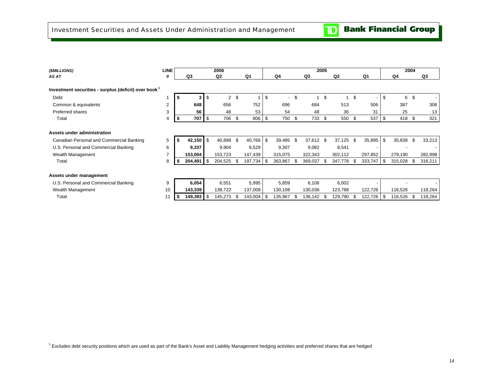| (\$MILLIONS)                                                     | <b>LINE</b> |    |                |      | 2006           |            |     |                          |     |                | 2005 |                |      |         |     |         | 2004 |         |
|------------------------------------------------------------------|-------------|----|----------------|------|----------------|------------|-----|--------------------------|-----|----------------|------|----------------|------|---------|-----|---------|------|---------|
| AS AT                                                            | #           |    | Q <sub>3</sub> |      | Q <sub>2</sub> | Q1         |     | Q4                       |     | Q <sub>3</sub> |      | Q <sub>2</sub> |      | Q1      |     | Q4      |      | Q3      |
| Investment securities - surplus (deficit) over book <sup>1</sup> |             |    |                |      |                |            |     |                          |     |                |      |                |      |         |     |         |      |         |
| Debt                                                             |             |    | 3              | \$   | $\overline{2}$ | \$         | \$  | $\overline{\phantom{a}}$ | \$  | 1              | \$   | 1              | \$   |         | \$  | 6       | \$   |         |
| Common & equivalents                                             | 2           |    | 648            |      | 656            | 752        |     | 696                      |     | 684            |      | 513            |      | 506     |     | 387     |      | 308     |
| Preferred shares                                                 | 3           |    | 56             |      | 48             | 53         |     | 54                       |     | 48             |      | 36             |      | 31      |     | 25      |      | 13      |
| Total                                                            | 4           | \$ | 707            | -\$  | 706            | \$<br>806  | -\$ | 750                      | \$  | 733 \$         |      | 550            | \$   | 537     | -\$ | 418     | -\$  | 321     |
|                                                                  |             |    |                |      |                |            |     |                          |     |                |      |                |      |         |     |         |      |         |
| Assets under administration                                      |             |    |                |      |                |            |     |                          |     |                |      |                |      |         |     |         |      |         |
| Canadian Personal and Commercial Banking                         | 5           |    | 42,150         | ا \$ | 40,898 \$      | 40,766     | \$  | 39,485                   | -\$ | 37,612 \$      |      | 37,125         | \$   | 35,895  | S   | 35,838  | \$   | 33,213  |
| U.S. Personal and Commercial Banking                             | 6           |    | 9,337          |      | 9,904          | 9,529      |     | 9,307                    |     | 9,082          |      | 8,541          |      |         |     |         |      |         |
| Wealth Management                                                | 7           |    | 153,004        |      | 153,723        | 147,439    |     | 315,075                  |     | 322,343        |      | 302,112        |      | 297,852 |     | 279,190 |      | 282,998 |
| Total                                                            | 8           | \$ | 204,491        | - \$ | 204,525        | 197,734    | -\$ | 363,867                  | \$. | 369,037        | - \$ | 347,778        | - \$ | 333,747 | l S | 315,028 | - \$ | 316,211 |
| Assets under management                                          |             |    |                |      |                |            |     |                          |     |                |      |                |      |         |     |         |      |         |
| U.S. Personal and Commercial Banking                             | 9           |    | 6,054          |      | 6,551          | 5,995      |     | 5,859                    |     | 6,106          |      | 6,002          |      |         |     |         |      |         |
| Wealth Management                                                | 10          |    | 143,339        |      | 138,722        | 137,009    |     | 130,108                  |     | 130,036        |      | 123,788        |      | 122,726 |     | 116,526 |      | 118,264 |
| Total                                                            | 11          | -5 | 149,393        | l S  | 145,273        | 143,004 \$ |     | 135,967                  | \$. | 136,142 \$     |      | 129,790        |      | 122,726 |     | 116,526 | - \$ | 118,264 |
|                                                                  |             |    |                |      |                |            |     |                          |     |                |      |                |      |         |     |         |      |         |

<sup>1</sup> Excludes debt security positions which are used as part of the Bank's Asset and Liability Management hedging activities and preferred shares that are hedged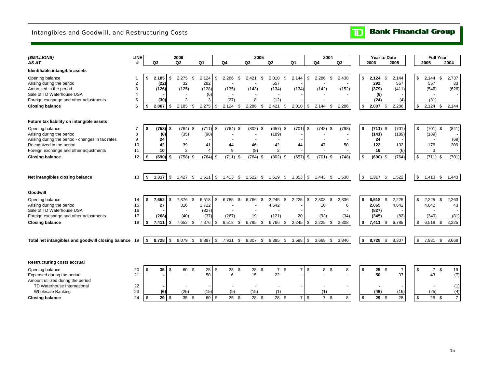### Intangibles and Goodwill, and Restructuring Costs

### $\overline{\mathbf{D}}$ **Bank Financial Group**

| (\$MILLIONS)                                                                                                           | <b>LINE</b>         |    |                        | 2006                       |      |                         |      |                        |    | 2005                 |                |                                        |                |                        | 2004                 |                |   | Year to Date                       |                       | <b>Full Year</b>            |      |                      |
|------------------------------------------------------------------------------------------------------------------------|---------------------|----|------------------------|----------------------------|------|-------------------------|------|------------------------|----|----------------------|----------------|----------------------------------------|----------------|------------------------|----------------------|----------------|---|------------------------------------|-----------------------|-----------------------------|------|----------------------|
| AS AT                                                                                                                  | #                   |    | Q3                     | Q2                         |      | Q1                      | Q4   |                        | Q3 |                      | Q <sub>2</sub> |                                        | Q <sub>1</sub> |                        | Q4                   | Q <sub>3</sub> |   | 2006                               | 2005                  | 2005                        |      | 2004                 |
| Identifiable intangible assets                                                                                         |                     |    |                        |                            |      |                         |      |                        |    |                      |                |                                        |                |                        |                      |                |   |                                    |                       |                             |      |                      |
| Opening balance<br>Arising during the period<br>Amortized in the period                                                | $\overline{2}$<br>3 | \$ | 2,185<br>(22)<br>(126) | \$<br>2,275<br>32<br>(125) | - \$ | 2,124<br>282<br>(128)   | - \$ | 2,286<br>(135)         | \$ | 2,421<br>\$<br>(143) |                | 2,010<br>\$<br>557<br>(134)            |                | 2,144<br>\$<br>(134)   | 2,286<br>\$<br>(142) | 2,438<br>(152) |   | \$<br>2,124<br>\$<br>292<br>(379)  | 2,144<br>557<br>(411) | \$<br>2,144<br>557<br>(546) | \$   | 2,737<br>33<br>(626) |
| Sale of TD Waterhouse USA<br>Foreign exchange and other adjustments                                                    | 4<br>5              |    | (30)                   | 3                          |      | (6)<br>3                |      | (27)                   |    | 8                    |                | (12)                                   |                |                        |                      |                |   | (6)<br>(24)                        | (4)                   | (31)                        |      |                      |
| <b>Closing balance</b>                                                                                                 | 6                   | S  | 2,007                  | \$<br>2,185                | \$   | $2,275$ \$              |      | 2,124<br>- \$          |    | 2,286<br>-\$         |                | 2,421<br>\$                            |                | 2,010<br>l \$          | 2,144<br>-\$         | 2,286          |   | \$<br>2,007<br>\$                  | 2,286                 | \$<br>2,124                 | \$   | 2,144                |
| Future tax liability on intangible assets                                                                              |                     |    |                        |                            |      |                         |      |                        |    |                      |                |                                        |                |                        |                      |                |   |                                    |                       |                             |      |                      |
| Opening balance<br>Arising during the period                                                                           | 8                   | \$ | (758)<br>(8)           | \$<br>$(764)$ \$<br>(35)   |      | $(711)$ \$<br>(98)      |      | (764)<br>\$            |    | $(802)$ \$           |                | $(657)$ \$<br>(189)                    |                | $(701)$ \$             | (748)<br>\$          | (798)          |   | \$<br>$(711)$ \$<br>(141)          | (701)<br>(189)        | \$<br>$(701)$ \$<br>(189)   |      | (841)                |
| Arising during the period - changes in tax rates<br>Recognized in the period<br>Foreign exchange and other adjustments | 9<br>10<br>11       |    | 24<br>42<br>10         | 39<br>$\overline{2}$       |      | 41<br>4                 |      | 44<br>9                |    | 46<br>(8)            |                | 42<br>$\overline{2}$                   |                | 44                     | 47                   | 50             |   | 24<br>122<br>16                    | 132<br>(6)            | 176<br>3                    |      | (69)<br>209          |
| <b>Closing balance</b>                                                                                                 | 12                  | \$ | (690)                  | \$<br>$(758)$ \$           |      | $(764)$ \$              |      | $(711)$ \$             |    | $(764)$ \$           |                | $(802)$ \$                             |                | $(657)$ \$             | $(701)$ \$           | (748)          |   | \$<br>$(690)$ \$                   | (764)                 | \$<br>$(711)$ \$            |      | (701)                |
| Net intangibles closing balance                                                                                        | 13                  | \$ | 1,317                  | \$<br>1,427                | \$   | $1,511$ \$              |      |                        |    | 1,413 \$ 1,522 \$    |                | 1,619 \$                               |                | 1,353<br>$\sqrt{3}$    | $1,443$ \$           | 1,538          |   | \$<br>1,317<br>\$                  | 1,522                 | \$<br>$1,413$ \$            |      | 1,443                |
|                                                                                                                        |                     |    |                        |                            |      |                         |      |                        |    |                      |                |                                        |                |                        |                      |                |   |                                    |                       |                             |      |                      |
| Goodwill                                                                                                               |                     |    |                        |                            |      |                         |      |                        |    |                      |                |                                        |                |                        |                      |                |   |                                    |                       |                             |      |                      |
| Opening balance<br>Arising during the period<br>Sale of TD Waterhouse USA                                              | 14<br>15<br>16      | S  | 7,652<br>27            | \$<br>7,376<br>316         | \$   | 6.518<br>1,722<br>(827) | \$   | 6.785                  | \$ | 6.766                | \$             | 2,245<br>\$<br>4,642<br>$\blacksquare$ |                | 2.225<br>- \$          | 2,308<br>\$<br>10    | 2,336          | 6 | \$<br>$6,518$ \$<br>2,065<br>(827) | 2,225<br>4,642        | \$<br>2,225<br>4,642        | \$   | 2,263<br>43          |
| Foreign exchange and other adjustments<br><b>Closing balance</b>                                                       | 17<br>18            | S  | (268)<br>7,411         | \$<br>(40)<br>7,652 \$     |      | (37)<br>$7,376$ \$      |      | (267)<br>6,518<br>- \$ |    | 19<br>6,785<br>- \$  |                | (121)<br>6,766<br>- \$                 |                | 20<br>2,245<br>l \$    | (93)<br>$2,225$ \$   | (34)<br>2,308  |   | \$<br>(345)<br>7,411<br>\$         | (82)<br>6,785         | \$<br>(349)<br>$6,518$ \$   |      | (81)<br>2,225        |
| Total net intangibles and goodwill closing balance                                                                     | 19                  | \$ | 8,728                  | \$<br>9,079                | - \$ | 8,887                   | \$   | 7,931                  | \$ | 8,307<br>\$          |                | 8,385<br>- \$                          |                | 3,598<br>- \$          | 3,668<br>- \$        | 3,846          |   | \$<br>8,728<br>- \$                | 8,307                 | \$<br>7,931                 | - \$ | 3,668                |
|                                                                                                                        |                     |    |                        |                            |      |                         |      |                        |    |                      |                |                                        |                |                        |                      |                |   |                                    |                       |                             |      |                      |
| <b>Restructuring costs accrual</b>                                                                                     |                     |    |                        |                            |      |                         |      |                        |    |                      |                |                                        |                |                        |                      |                |   |                                    |                       |                             |      |                      |
| Opening balance<br>Expensed during the period<br>Amount utilized during the period                                     | 20<br>21            | \$ | 35                     | \$<br>60 \$                |      | 25<br>50                | \$   | $28 \quad$<br>6        |    | $28 \quad $$<br>15   |                | 7 \$<br>22                             |                | $\overline{7}$<br>\$   | 8 <sup>°</sup>       |                | 8 | \$<br>25<br>\$<br>50               | $\overline{7}$<br>37  | \$<br>$\overline{7}$<br>43  | \$   | 19<br>(7)            |
| TD Waterhouse International<br><b>Wholesale Banking</b>                                                                | 22<br>23            |    | (6)                    | (25)                       |      | (15)                    |      | (9)                    |    | (15)                 |                | (1)                                    |                |                        | (1)                  |                |   | (46)                               | (16)                  | (25)                        |      | (1)<br>(4)           |
| <b>Closing balance</b>                                                                                                 | 24                  | \$ | 29                     | \$<br>35S                  |      | 60 \$                   |      | $25 \quad$             |    | 28 \$                |                | 28 \$                                  |                | $\overline{7}$<br>l \$ | 7 <sup>5</sup>       |                | 8 | \$<br>29<br>\$                     | 28                    | \$<br>$25 \quad$            |      | $\overline{7}$       |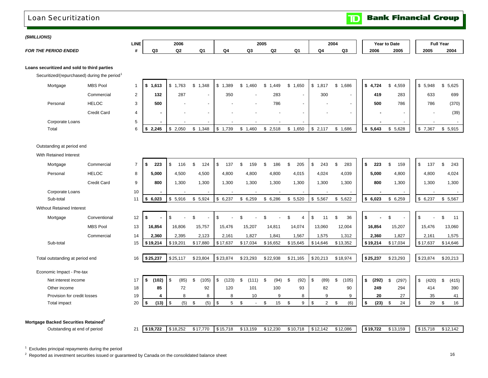### Loan Securitization

**Bank Financial Group** 

 $\mathbf{r}$ 

 $\overline{\mathbf{D}}$ 

<u>г</u>

### *(\$MILLIONS)*

|                                       | LINE |              | 2006 |         |   | 2005 |    |    | 2004 |    | Year⊹ | to Date | <b>Full Year</b> |      |
|---------------------------------------|------|--------------|------|---------|---|------|----|----|------|----|-------|---------|------------------|------|
| <b>PERIOD ENDED</b><br><b>FOR THE</b> |      | $\sim$<br>wa | w    | n.<br>. | w | Q3   | Q2 | Ω1 | Q4   | Q3 | 2006  | 2005    | 2005             | 2004 |

### **Loans securitized and sold to third parties**

Securitized/(repurchased) during the period<sup>1</sup>

| Mortgage        | <b>MBS Pool</b>    | 1,613       | .763  | 1,348  | ,389 | ,460 | ,449<br>- S - 1 | 1,650<br>S | 1,817<br>J | \$1,686                  | \$4,724 | 4,559 | 5,948<br>\$             | \$5,625 |
|-----------------|--------------------|-------------|-------|--------|------|------|-----------------|------------|------------|--------------------------|---------|-------|-------------------------|---------|
|                 | Commercial         | 132         | 287   | $\sim$ | 350  | . .  | 283             |            | 300        | $\overline{\phantom{a}}$ | 419     | 283   | 633                     | 699     |
| Personal        | <b>HELOC</b>       | 500         |       | $\sim$ |      |      | 786             |            |            | $\overline{\phantom{0}}$ | 500     | 786   | 786                     | (370)   |
|                 | <b>Credit Card</b> |             |       | $\sim$ |      |      |                 |            |            | $\overline{\phantom{0}}$ |         |       |                         | (39)    |
| Corporate Loans |                    |             |       |        |      |      |                 |            |            |                          |         |       |                         |         |
| Total           |                    | 2,245<br>ΙÞ | 2,050 | 1,348  | .739 | ,460 | \$2,518         | 650, ا     | 2,117<br>D | 1,686                    | 5,643   | 5,628 | -\$<br>$^{\prime}$ ,367 | 5,915   |

### Outstanding at period end

With Retained Interest

| Mortgage                                         | Commercial         | $\overline{7}$ | 223<br>\$            | - \$<br>116 |      | \$<br>124              | \$<br>137   | 159                            |      | 186      | 205                  | -\$<br>243           | 283                      | \$ | 223      | \$<br>159   | \$<br>137   | \$<br>243   |                          |
|--------------------------------------------------|--------------------|----------------|----------------------|-------------|------|------------------------|-------------|--------------------------------|------|----------|----------------------|----------------------|--------------------------|----|----------|-------------|-------------|-------------|--------------------------|
| Personal                                         | <b>HELOC</b>       | 8              | 5,000                | 4,500       |      | 4,500                  | 4,800       | 4,800                          |      | 4,800    | 4,015                | 4,024                | 4,039                    |    | 5,000    | 4,800       | 4,800       | 4,024       |                          |
|                                                  | <b>Credit Card</b> | 9              | 800                  | 1,300       |      | 1,300                  | 1,300       | 1,300                          |      | 1,300    | 1,300                | 1,300                | 1,300                    |    | 800      | 1,300       | 1,300       | 1,300       |                          |
| Corporate Loans                                  |                    | 10             |                      |             |      |                        |             |                                |      |          | $\blacksquare$       |                      | $\overline{\phantom{a}}$ |    |          |             |             |             | $\overline{\phantom{a}}$ |
| Sub-total                                        |                    | 11             | 6,023<br>\$          | \$<br>5,916 |      | 5,924<br>\$            | 6,237<br>\$ | \$6,259                        |      | \$6,286  | \$5,520              | \$<br>5,567          | \$5,622                  |    | \$6,023  | \$<br>6,259 | \$6,237     | \$<br>5,567 |                          |
| <b>Without Retained Interest</b>                 |                    |                |                      |             |      |                        |             |                                |      |          |                      |                      |                          |    |          |             |             |             |                          |
| Mortgage                                         | Conventional       | 12             | \$                   | \$          |      | \$.                    | \$          |                                |      |          | \$<br>$\overline{4}$ | \$<br>11             | 36<br>\$                 | \$ |          | \$          | \$          | \$<br>11    |                          |
|                                                  | <b>MBS Pool</b>    | 13             | 16,854               | 16,806      |      | 15,757                 | 15,476      | 15,207                         |      | 14,811   | 14,074               | 13,060               | 12,004                   |    | 16,854   | 15,207      | 15,476      | 13,060      |                          |
|                                                  | Commercial         | 14             | 2,360                | 2,395       |      | 2,123                  | 2,161       | 1,827                          |      | 1,841    | 1,567                | 1,575                | 1,312                    |    | 2,360    | 1,827       | 2,161       | 1,575       |                          |
| Sub-total                                        |                    | 15             | \$19,214             | \$19,201    |      | \$17,880               | \$17,637    | \$17,034                       |      | \$16,652 | \$15,645             | \$14,646             | \$13,352                 |    | \$19,214 | \$17,034    | \$17,637    | \$14,646    |                          |
|                                                  |                    |                |                      |             |      |                        |             |                                |      |          |                      |                      |                          |    |          |             |             |             |                          |
| Total outstanding at period end                  |                    | 16             | \$25,237             | \$25,117    |      | \$23,804               | \$23,874    | \$23,293                       |      | \$22,938 | \$21,165             | \$20,213             | \$18,974                 |    | \$25,237 | \$23,293    | \$23,874    | \$20,213    |                          |
| Economic Impact - Pre-tax                        |                    |                |                      |             |      |                        |             |                                |      |          |                      |                      |                          |    |          |             |             |             |                          |
| Net interest income                              |                    | 17             | \$<br>(102)          | l \$        | (85) | $\mathcal{S}$<br>(105) | \$<br>(123) | £.<br>(111)                    | - \$ | (94)     | (92)<br>\$           | \$.<br>(89)          | (105)<br>\$              | Ŝ. | (292)    | \$<br>(297) | \$<br>(420) | \$<br>(415) |                          |
| Other income                                     |                    | 18             | 85                   |             | 72   | 92                     | 120         | 101                            |      | 100      | 93                   | 82                   | 90                       |    | 249      | 294         | 414         | 390         |                          |
| Provision for credit losses                      |                    | 19             |                      |             | 8    | 8                      | 8           | 10                             |      | 9        | 8                    | 9                    | 9                        |    | 20       | 27          | 35          |             | 41                       |
| Total impact                                     |                    | 20             | (13)<br>\$           | $\sqrt{3}$  | (5)  | \$<br>(5)              | \$<br>5     | \$<br>$\overline{\phantom{a}}$ | \$   | 15       | \$<br>9              | $\overline{2}$<br>\$ | (6)<br>\$                | \$ | (23)     | 24<br>\$    | \$<br>29    | \$          | 16                       |
|                                                  |                    |                |                      |             |      |                        |             |                                |      |          |                      |                      |                          |    |          |             |             |             |                          |
| Mortgage Backed Securities Retained <sup>2</sup> |                    |                |                      |             |      |                        |             |                                |      |          |                      |                      |                          |    |          |             |             |             |                          |
| Outstanding at end of period                     |                    | 21             | $$19,722$ \ \$18,252 |             |      | \$17,770               | \$15,718    | \$13,159                       |      | \$12,230 | \$10.718             | \$12,142             | \$12,086                 |    | \$19,722 | \$13,159    | \$15,718    | \$12,142    |                          |

 $1$  Excludes principal repayments during the period

<sup>2</sup> Reported as investment securities issued or guaranteed by Canada on the consolidated balance sheet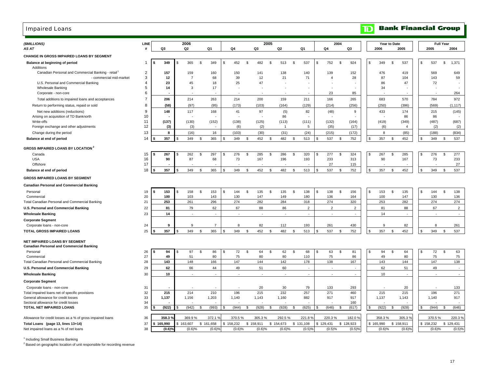### Impaired Loans

| (\$MILLIONS)<br>AS AT                                                    | <b>LINE</b><br># | Q3                   | 2006<br>Q <sub>2</sub> |               | Q <sub>1</sub>       | Q4                    | Q <sub>3</sub>           | 2005<br>Q <sub>2</sub> |                | Q1                  | Q4             | 2004      | Q3             |                | 2006         | Year to Date | 2005           |     | 2005      | <b>Full Year</b> | 2004           |
|--------------------------------------------------------------------------|------------------|----------------------|------------------------|---------------|----------------------|-----------------------|--------------------------|------------------------|----------------|---------------------|----------------|-----------|----------------|----------------|--------------|--------------|----------------|-----|-----------|------------------|----------------|
| <b>CHANGE IN GROSS IMPAIRED LOANS BY SEGMENT</b>                         |                  |                      |                        |               |                      |                       |                          |                        |                |                     |                |           |                |                |              |              |                |     |           |                  |                |
| Balance at beginning of period                                           |                  | 349                  | 365                    | \$            | 349                  | 452<br>\$             | \$<br>482                | \$                     | 513            | $\mathbb{S}$<br>537 | \$<br>752      | \$        | 924            |                | 349          | \$           | 537            | S   | 537       | $\mathbb{S}$     | 1,371          |
| Additions                                                                |                  |                      |                        |               |                      |                       |                          |                        |                |                     |                |           |                |                |              |              |                |     |           |                  |                |
| Canadian Personal and Commercial Banking - retail                        | 2                | 157                  | 159                    |               | 160                  | 150                   | 141                      |                        | 138            | 140                 | 139            |           | 152            |                | 476          |              | 419            |     | 569       |                  | 649            |
| - commercial mid-market                                                  | 3                | 12                   | $\overline{7}$         |               | 68                   | 39                    | 12                       |                        | 21             | 71                  | $\overline{4}$ |           | 28             |                | 87           |              | 104            |     | 143       |                  | 59             |
| U.S. Personal and Commercial Banking<br><b>Wholesale Banking</b>         | 4<br>5           | 23<br>14             | 45<br>3                |               | 18<br>17             | 25                    | 47                       |                        |                |                     |                |           |                |                | 86<br>34     |              | 47             |     | 72        |                  |                |
| Corporate - non-core                                                     | 6                |                      |                        |               |                      |                       |                          |                        |                |                     | 23             |           | 85             |                |              |              |                |     |           |                  | 264            |
| Total additions to impaired loans and acceptances                        | $\overline{7}$   | 206                  | 214                    |               | 263                  | 214                   | 200                      |                        | 159            | 211                 | 166            |           | 265            |                | 683          |              | 570            |     | 784       |                  | 972            |
| Return to performing status, repaid or sold                              | 8                | (58)                 | (97)                   |               | (95)                 | (173)                 | (103)                    |                        | (164)          | (129)               | (214)          |           | (256)          |                | (250)        |              | (396)          |     | (569)     |                  | (1, 117)       |
|                                                                          |                  |                      |                        |               |                      |                       |                          |                        |                |                     |                |           |                |                |              |              |                |     |           |                  |                |
| Net new additions (reductions)<br>Arising on acquisition of TD Banknorth | 9<br>10          | 148                  | 117                    |               | 168                  | 41                    | 97                       |                        | (5)<br>86      | 82                  | (48)           |           | 9              |                | 433          |              | 174<br>86      |     | 215<br>86 |                  | (145)          |
| Write-offs                                                               | 11               | (137)                | (130)                  |               | (152)                | (138)                 | (125)                    |                        | (113)          | (111)               | (132)          |           | (164)          |                | (419)        |              | (349)          |     | (487)     |                  | (687)          |
| Foreign exchange and other adjustments                                   | 12               | (3)                  | (3)                    |               |                      | (6)                   | (2)                      |                        | $\overline{1}$ | 5                   | (35)           |           | (17)           |                | (6)          |              | $\overline{4}$ |     | (2)       |                  | (2)            |
| Change during the period                                                 | 13               | 8                    | (16)                   |               | 16                   | (103)                 | (30)                     |                        | (31)           | (24)                | (215)          |           | (172)          |                | 8            |              | (85)           |     | (188)     |                  | (834)          |
| Balance at end of period                                                 | 14               | 357                  | 349                    | \$            | 365                  | \$<br>349             | \$<br>452                | \$                     | 482            | 513<br>S.           | \$<br>537      | \$        | 752            | \$.            | 357          | \$           | 452            | \$  | 349       | \$               | 537            |
|                                                                          |                  |                      |                        |               |                      |                       |                          |                        |                |                     |                |           |                |                |              |              |                |     |           |                  |                |
| <b>GROSS IMPAIRED LOANS BY LOCATION 2</b>                                |                  |                      |                        |               |                      |                       |                          |                        |                |                     |                |           |                |                |              |              |                |     |           |                  |                |
| Canada                                                                   | 15               | 267                  | 262                    | \$            | 297                  | 276<br>\$             | \$<br>285                | \$                     | 286            | \$<br>320           | \$<br>277      | \$        | 324            | \$             | 267          | \$           | 285            | \$. | 276       | \$               | 277            |
| <b>USA</b>                                                               | 16               | 90                   | 87                     |               | 68                   | 73                    | 167                      |                        | 196            | 193                 | 233            |           | 313            |                | 90           |              | 167            |     | 73        |                  | 233            |
| Offshore                                                                 | 17               |                      |                        |               |                      |                       |                          |                        |                |                     | 27             |           | 115            |                |              |              |                |     |           |                  | 27             |
| Balance at end of period                                                 | 18               | 357                  | 349                    | \$            | 365                  | 349<br>\$.            | \$<br>452                | \$                     | 482            | 513<br>\$           | \$<br>537      | \$        | 752            | \$.            | 357          | \$           | 452            | ፍ   | 349       | \$               | 537            |
| <b>GROSS IMPAIRED LOANS BY SEGMENT</b>                                   |                  |                      |                        |               |                      |                       |                          |                        |                |                     |                |           |                |                |              |              |                |     |           |                  |                |
| <b>Canadian Personal and Commercial Banking</b>                          |                  |                      |                        |               |                      |                       |                          |                        |                |                     |                |           |                |                |              |              |                |     |           |                  |                |
| Personal                                                                 | 19               | 153<br>IS.           | 158<br>l \$            | \$            | 153                  | \$<br>144             | \$<br>135                | \$                     | 135            | 138<br>\$           | \$<br>138      | \$        | 156            | \$             | 153          | \$           | 135            | Ŝ.  | 144       | $\mathbb{S}$     | 138            |
| Commercial                                                               | 20               | 100                  | 103                    |               | 143                  | 130                   | 147                      |                        | 149            | 180                 | 136            |           | 164            |                | 100          |              | 147            |     | 130       |                  | 136            |
| Total Canadian Personal and Commercial Banking                           | 21               | 253                  | 261                    |               | 296                  | 274                   | 282                      |                        | 284            | 318                 | 274            |           | 320            |                | 253          |              | 282            |     | 274       |                  | 274            |
| U.S. Personal and Commercial Banking                                     | 22               | 81                   | 79                     |               | 62                   | 67                    | 88                       |                        | 86             | $\overline{2}$      | $\overline{2}$ |           | $\overline{2}$ |                | 81           |              | 88             |     | 67        |                  | $\overline{2}$ |
| <b>Wholesale Banking</b>                                                 | 23               | 14                   |                        |               |                      |                       |                          |                        |                | ÷.                  |                |           | ä,             |                | 14           |              | ÷.             |     |           |                  | $\sim$         |
| <b>Corporate Segment</b>                                                 |                  |                      |                        |               |                      |                       |                          |                        |                |                     |                |           |                |                |              |              |                |     |           |                  |                |
| Corporate loans - non-core                                               | 24               | 9                    | $\mathbf{Q}$           |               | $\overline{7}$       | 8                     | 82                       |                        | 112            | 193                 | 261            |           | 430            |                | $\mathbf{q}$ |              | 82             |     | 8         |                  | 261            |
| <b>TOTAL GROSS IMPAIRED LOANS</b>                                        | 25               | 357                  | 349                    | $\mathfrak s$ | 365                  | 349<br>$\mathfrak{L}$ | \$<br>452                | \$                     | 482            | 513<br>\$           | \$<br>537      | \$        | 752            | $\mathfrak{L}$ | 357          | \$           | 452            | \$  | 349       | $\mathbb{S}$     | 537            |
| NET IMPAIRED LOANS BY SEGMENT                                            |                  |                      |                        |               |                      |                       |                          |                        |                |                     |                |           |                |                |              |              |                |     |           |                  |                |
| <b>Canadian Personal and Commercial Banking</b>                          |                  |                      |                        |               |                      |                       |                          |                        |                |                     |                |           |                |                |              |              |                |     |           |                  |                |
| Personal                                                                 | 26               | 94                   | 97                     | \$            | 86                   | 72<br>\$              | \$<br>64                 | \$                     | 62             | \$<br>68            | \$<br>63       | \$        | 81             |                | 94           | \$           | 64             | S   | 72        | \$               | 63             |
| Commercial                                                               | 27               | 49                   | 51                     |               | 80                   | 75                    | 80                       |                        | 80             | 110                 | 75             |           | 86             |                | 49           |              | 80             |     | 75        |                  | 75             |
| Total Canadian Personal and Commercial Banking                           | 28               | 143                  | 148                    |               | 166                  | 147                   | 144                      |                        | 142            | 178                 | 138            |           | 167            |                | 143          |              | 144            |     | 147       |                  | 138            |
| U.S. Personal and Commercial Banking                                     | 29               | 62                   | 66                     |               | 44                   | 49                    | 51                       |                        | 60             | $\sim$              | ä,             |           | ×              |                | 62           |              | 51             |     | 49        |                  | $\sim$         |
| <b>Wholesale Banking</b>                                                 | 30               | 10                   | $\sim$                 |               | $\sim$               | $\sim$                | $\overline{\phantom{a}}$ |                        | $\sim$         | $\blacksquare$      | $\sim$         |           | $\sim$         |                | 10           |              | $\sim$         |     | ٠         |                  | $\sim$         |
| <b>Corporate Segment</b>                                                 |                  |                      |                        |               |                      |                       |                          |                        |                |                     |                |           |                |                |              |              |                |     |           |                  |                |
| Corporate loans - non-core                                               | 31               |                      |                        |               |                      |                       | 20                       |                        | 30             | 79                  | 133            |           | 293            |                |              |              | 20             |     |           |                  | 133            |
| Total impaired loans net of specific provisions                          | 32               | 215                  | 214                    |               | 210                  | 196                   | 215                      |                        | 232            | 257                 | 271            |           | 460            |                | 215          |              | 215            |     | 196       |                  | 271            |
| General allowance for credit losses                                      | 33               | 1,137                | 1,156                  |               | 1,203                | 1,140                 | 1,143                    |                        | 1,160          | 882                 | 917            |           | 917            |                | 1,137        |              | 1,143          |     | 1,140     |                  | 917            |
| Sectoral allowance for credit losses                                     | 34               |                      |                        |               |                      |                       |                          |                        |                |                     |                |           | 160            |                |              |              |                |     |           |                  |                |
| TOTAL NET IMPAIRED LOANS                                                 | 35               | (922)                | (942)                  | \$            | (993)                | (944)<br>\$           | \$<br>(928)              | S                      | (928)          | (625)<br>\$         | (646)          | \$        | (617)          | \$.            | (922)        | S            | (928)          | \$. | (944)     | \$               | (646)          |
| Allowance for credit losses as a % of gross impaired loans               | 36               | 358.3%               | 369.9%                 |               | 372.1 %              | 370.5%                | 305.3%                   |                        | 292.5%         | 221.8%              | 220.3%         |           | 182.0%         |                | 358.3%       |              | 305.3%         |     | 370.5%    |                  | 220.3%         |
| Total Loans (page 13, lines 13+14)                                       | 37               | 165.990              | 163,607                |               | \$161,658            | \$158,232             | \$158,911                | \$154,673              |                | \$131,108           | \$129,431      | \$128,923 |                |                | \$165,990    |              | \$158,911      |     | \$158,232 |                  | \$129,431      |
| Net impaired loans as a % of net loans                                   | 38               | $(0.6)$ <sup>9</sup> | (0.6)%                 |               | $(0.6)$ <sup>9</sup> | (0.6)%                | (0.6)%                   |                        | (0.6)%         | $(0.5)$ %           | (0.5)%         |           | (0.5)%         |                | (0.6)%       |              | (0.6)%         |     | (0.6)%    |                  | (0.5)%         |

<sup>1</sup> Including Small Business Banking

<sup>2</sup> Based on geographic location of unit responsible for recording revenue

#### **Bank Financial Group**  $\mathbf{D}$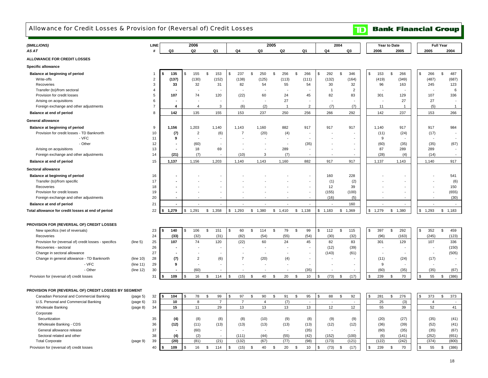### Allowance for Credit Losses & Provision for (Reversal of) Credit Losses

**TD** Bank Financial Group

| (\$MILLIONS)                                          |           | LINE                    |                          | 2006           |               |                          |                |                          | 2005                |         |                          |                          | 2004                 |              |       | Year to Date             |          |                          | <b>Full Year</b>     |
|-------------------------------------------------------|-----------|-------------------------|--------------------------|----------------|---------------|--------------------------|----------------|--------------------------|---------------------|---------|--------------------------|--------------------------|----------------------|--------------|-------|--------------------------|----------|--------------------------|----------------------|
| AS AT                                                 |           | #                       | Q3                       | Q <sub>2</sub> |               | Q <sub>1</sub>           | Q4             | Q <sub>3</sub>           | Q <sub>2</sub>      | Q1      |                          | Q4                       | Q3                   | 2006         |       | 2005                     |          | 2005                     | 2004                 |
| ALLOWANCE FOR CREDIT LOSSES                           |           |                         |                          |                |               |                          |                |                          |                     |         |                          |                          |                      |              |       |                          |          |                          |                      |
|                                                       |           |                         |                          |                |               |                          |                |                          |                     |         |                          |                          |                      |              |       |                          |          |                          |                      |
| Specific allowance                                    |           |                         |                          |                |               |                          |                |                          |                     |         |                          |                          |                      |              |       |                          |          |                          |                      |
| Balance at beginning of period                        |           | $\mathbf{1}$            | 135<br>\$                | \$<br>155      | \$            | 153                      | 237<br>\$      | \$<br>250                | \$<br>256           | \$      | 266                      | \$<br>292                | \$<br>346            | . ድ          | 153   | \$<br>266                | \$       | 266                      | \$<br>487            |
| Write-offs                                            |           | $\overline{2}$          | (137)                    | (130)          |               | (152)                    | (138)          | (125)                    | (113)               |         | (111)                    | (132)                    | (164)                |              | (419) | (349)                    |          | (487)                    | (687)                |
| Recoveries                                            |           | 3                       | 33                       | 32             |               | 31                       | 82             | 54                       | 55                  |         | 54                       | 30                       | 32                   |              | 96    | 163                      |          | 245                      | 123                  |
| Transfer (to)/from sectoral                           |           | $\overline{\mathbf{4}}$ |                          |                |               |                          |                |                          |                     |         |                          | $\overline{1}$           | 2                    |              |       |                          |          |                          | 6                    |
| Provision for credit losses                           |           | 5                       | 107                      | 74             |               | 120                      | (22)           | 60                       | 24                  |         | 45                       | 82                       | 83                   |              | 301   | 129                      |          | 107                      | 336                  |
| Arising on acquisitions                               |           | 6                       |                          |                |               |                          |                |                          | 27                  |         |                          |                          |                      |              |       | 27                       |          | 27                       |                      |
| Foreign exchange and other adjustments                |           | $\overline{7}$          | $\overline{\bf{4}}$      | $\overline{4}$ |               | 3                        | (6)            | (2)                      | $\overline{1}$      |         | $\overline{2}$           | (7)                      | (7)                  |              | 11    | $\overline{1}$           |          | (5)                      | $\mathbf{1}$         |
| Balance at end of period                              |           | 8                       | 142                      | 135            |               | 155                      | 153            | 237                      | 250                 |         | 256                      | 266                      | 292                  |              | 142   | 237                      |          | 153                      | 266                  |
| <b>General allowance</b>                              |           |                         |                          |                |               |                          |                |                          |                     |         |                          |                          |                      |              |       |                          |          |                          |                      |
| Balance at beginning of period                        |           | 9                       | 1,156                    | 1,203          |               | 1,140                    | 1,143          | 1.160                    | 882                 |         | 917                      | 917                      | 917                  | 1,140        |       | 917                      |          | 917                      | 984                  |
| Provision for credit losses - TD Banknorth            |           | 10                      | (7)                      | $\overline{2}$ |               | (6)                      | $\overline{7}$ | (20)                     | (4)                 |         |                          |                          |                      |              | (11)  | (24)                     |          | (17)                     |                      |
| - VFC                                                 |           | 11                      | 9                        |                |               |                          |                |                          |                     |         |                          |                          |                      |              | 9     |                          |          |                          |                      |
| - Other                                               |           | 12                      |                          | (60)           |               |                          |                |                          |                     |         | (35)                     |                          |                      |              | (60)  | (35)                     |          | (35)                     | (67)                 |
| Arising on acquisitions                               |           | 13                      |                          | 18             |               | 69                       |                | $\overline{a}$           | 289                 |         |                          |                          |                      |              | 87    | 289                      |          | 289                      |                      |
| Foreign exchange and other adjustments                |           | 14                      | (21)                     | (7)            |               | $\sim$                   | (10)           | 3                        | (7)                 |         |                          |                          |                      |              | (28)  | (4)                      |          | (14)                     |                      |
| Balance at end of period                              |           | 15                      | 1,137                    | 1,156          |               | 1,203                    | 1,140          | 1,143                    | 1,160               |         | 882                      | 917                      | 917                  | 1,137        |       | 1,143                    |          | 1,140                    | 917                  |
| Sectoral allowance                                    |           |                         |                          |                |               |                          |                |                          |                     |         |                          |                          |                      |              |       |                          |          |                          |                      |
| Balance at beginning of period                        |           | 16                      |                          |                |               |                          |                |                          |                     |         |                          | 160                      | 228                  |              |       |                          |          |                          | 541                  |
| Transfer (to)/from specific                           |           | 17                      |                          |                |               |                          |                |                          |                     |         |                          | (1)                      | (2)                  |              |       |                          |          |                          | (6)                  |
| Recoveries                                            |           | 18                      |                          |                |               |                          |                |                          |                     |         |                          | 12                       | 39                   |              |       |                          |          |                          | 150                  |
| Provision for credit losses                           |           | 19                      |                          |                |               |                          |                |                          |                     |         |                          | (155)                    | (100)                |              |       |                          |          |                          | (655)                |
| Foreign exchange and other adjustments                |           | 20                      |                          |                |               |                          |                |                          |                     |         |                          | (16)                     | (5)                  |              |       |                          |          |                          | (30)                 |
| Balance at end of period                              |           | 21                      | $\overline{\phantom{a}}$ |                |               | $\overline{\phantom{a}}$ |                |                          |                     |         | $\overline{a}$           | $\overline{a}$           | 160                  |              |       | $\overline{a}$           |          |                          | $\overline{a}$       |
| Total allowance for credit losses at end of period    |           | 22                      | 1,279                    | 1,291<br>\$    | \$1,358       |                          | \$1,293        | \$1,380                  | \$1,410             | \$1,138 |                          | 1,183<br>\$              | 1,369<br>\$          | 1,279<br>\$. |       | \$1,380                  | \$       | 1,293                    | \$1,183              |
|                                                       |           |                         |                          |                |               |                          |                |                          |                     |         |                          |                          |                      |              |       |                          |          |                          |                      |
| PROVISION FOR (REVERSAL OF) CREDIT LOSSES             |           |                         |                          |                |               |                          |                |                          |                     |         |                          |                          |                      |              |       |                          |          |                          |                      |
| New specifics (net of reversals)                      |           | 23                      | 140<br>S                 | \$<br>106      | $\mathfrak s$ | 151                      | \$<br>60       | \$<br>114                | $\mathfrak s$<br>79 | \$      | 99                       | \$<br>112                | $\mathfrak s$<br>115 | \$           | 397   | 292<br>\$                | \$       | 352                      | $\mathfrak s$<br>459 |
| Recoveries                                            |           | 24                      | (33)                     | (32)           |               | (31)                     | (82)           | (54)                     | (55)                |         | (54)                     | (30)                     | (32)                 |              | (96)  | (163)                    |          | (245)                    | (123)                |
| Provision for (reversal of) credit losses - specifics | (line 5)  | 25                      | 107                      | 74             |               | 120                      | (22)           | 60                       | 24                  |         | 45                       | 82                       | 83                   |              | 301   | 129                      |          | 107                      | 336                  |
| Recoveries - sectoral                                 |           | 26                      |                          |                |               |                          |                |                          |                     |         |                          | (12)                     | (39)                 |              |       |                          |          | $\overline{\phantom{a}}$ | (150)                |
| Change in sectoral allowance                          |           | 27                      |                          |                |               |                          |                | $\overline{\phantom{a}}$ |                     |         |                          | (143)                    | (61)                 |              |       | $\overline{\phantom{a}}$ |          | $\sim$                   | (505)                |
| Change in general allowance - TD Banknorth            | (line 10) | 28                      | (7)                      | $\overline{2}$ |               | (6)                      | $\overline{7}$ | (20)                     | (4)                 |         |                          |                          |                      |              | (11)  | (24)                     |          | (17)                     |                      |
| - VFC                                                 | (line 11) | 29                      | 9                        |                |               |                          |                |                          |                     |         |                          |                          |                      |              | 9     |                          |          |                          |                      |
| - Other                                               | (line 12) | 30                      |                          | (60)           |               |                          |                |                          |                     |         | (35)                     |                          |                      |              | (60)  | (35)                     |          | (35)                     | (67)                 |
| Provision for (reversal of) credit losses             |           | 31                      | 109                      | 16<br>\$       | \$            | 114                      | \$<br>(15)     | 40<br><b>S</b>           | 20<br>\$            | \$      | 10                       | (73)<br>$\mathfrak{s}$   | \$<br>(17)           |              | 239   | 70<br>\$                 | \$       | 55                       | (386)<br>\$          |
|                                                       |           |                         |                          |                |               |                          |                |                          |                     |         |                          |                          |                      |              |       |                          |          |                          |                      |
| PROVISION FOR (REVERSAL OF) CREDIT LOSSES BY SEGMENT  |           |                         |                          |                |               |                          |                |                          |                     |         |                          |                          |                      |              |       |                          |          |                          |                      |
| Canadian Personal and Commercial Banking              | (page 5)  | 32                      | 104<br><b>S</b>          | 78             | \$            | 99                       | 97<br>£.       | \$<br>90                 | \$<br>91            | \$      | 95                       | 88<br>\$                 | 92<br>\$             | -96          | 281   | \$<br>276                | <b>S</b> | 373                      | \$<br>373            |
| U.S. Personal and Commercial Banking                  | (page 6)  | 33                      | 10                       | 8              |               | $\overline{7}$           | $\overline{7}$ | $\overline{4}$           | (7)                 |         | $\overline{\phantom{a}}$ | $\overline{\phantom{a}}$ | $\sim$               |              | 25    | (3)                      |          | $\overline{4}$           | $\overline{a}$       |
| <b>Wholesale Banking</b>                              | (page 8)  | 34                      | 15                       | 11             |               | 29                       | 13             | 13                       | 13                  |         | 13                       | 12                       | 12                   |              | 55    | 39                       |          | 52                       | 41                   |
| Corporate                                             |           |                         |                          |                |               |                          |                |                          |                     |         |                          |                          |                      |              |       |                          |          |                          |                      |
| Securitization                                        |           | 35                      | (4)                      | (8)            |               | (8)                      | (8)            | (10)                     | (9)                 |         | (8)                      | (9)                      | (9)                  |              | (20)  | (27)                     |          | (35)                     | (41)                 |
| Wholesale Banking - CDS                               |           | 36                      | (12)                     | (11)           |               | (13)                     | (13)           | (13)                     | (13)                |         | (13)                     | (12)                     | (12)                 |              | (36)  | (39)                     |          | (52)                     | (41)                 |
| General allowance release                             |           | 37                      |                          | (60)           |               | $\sim$                   |                |                          | $\sim$              |         | (35)                     | ÷,                       |                      |              | (60)  | (35)                     |          | (35)                     | (67)                 |
| Sectoral related and other                            |           | 38                      | (4)                      | (2)            |               |                          | (111)          | (44)                     | (55)                |         | (42)                     | (152)                    | (100)                |              | (6)   | (141)                    |          | (252)                    | (651)                |
| <b>Total Corporate</b>                                | (page 9)  | 39                      | (20)                     | (81)           |               | (21)                     | (132)          | (67)                     | (77)                |         | (98)                     | (173)                    | (121)                |              | (122) | (242)                    |          | (374)                    | (800)                |
| Provision for (reversal of) credit losses             |           | 40                      | 109                      | \$<br>16       | \$            | 114                      | (15)<br>\$     | 40<br>\$                 | 20<br>\$            | \$      | 10                       | (73)<br>\$               | \$<br>(17)           | Я.           | 239   | \$<br>70                 | \$       | 55                       | (386)<br>\$          |
|                                                       |           |                         |                          |                |               |                          |                |                          |                     |         |                          |                          |                      |              |       |                          |          |                          |                      |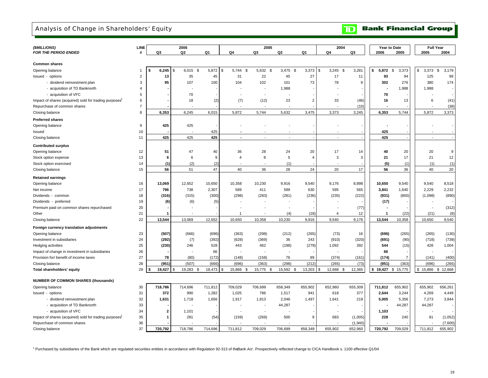## Analysis of Change in Shareholders' Equity

**Bank Financial Group**  $\mathbf{D}$ 

| (\$MILLIONS)                                                       |                |              | 2006                 |         |                      | 2005                     |                          |                | 2004               |         | Year to Date   |                        | <b>Full Year</b> |              |
|--------------------------------------------------------------------|----------------|--------------|----------------------|---------|----------------------|--------------------------|--------------------------|----------------|--------------------|---------|----------------|------------------------|------------------|--------------|
| <b>FOR THE PERIOD ENDED</b>                                        | LINE<br>#      | Q3           | Q <sub>2</sub>       | Q1      | Q4                   | Q3                       | Q2                       | Q1             | Q4                 | Q3      | 2006           | 2005                   | 2005             | 2004         |
|                                                                    |                |              |                      |         |                      |                          |                          |                |                    |         |                |                        |                  |              |
| <b>Common shares</b>                                               |                |              |                      |         |                      |                          |                          |                |                    |         |                |                        |                  |              |
| Opening balance                                                    | $\mathbf{1}$   | 6,245<br>-S  | 6,015<br>\$<br>\$    | 5,872   | 5,744<br>\$<br>\$    | 5,632 \$                 | $3,475$ \$               | 3,373          | 3,245<br>\$<br>\$  | 3,281   | 5,872<br>\$    | $\mathfrak s$<br>3,373 | \$<br>3,373      | \$<br>3,179  |
| Issued - options                                                   | $\overline{2}$ | 13           | 35                   | 45      | 31                   | 22                       | 45                       | 27             | 17                 | 11      | 93             | 94                     | 125              | 99           |
| - dividend reinvestment plan                                       | 3              | 95           | 107                  | 100     | 104                  | 102                      | 101                      | 73             | 78                 | 9       | 302            | 276                    | 380              | 174          |
| - acquisition of TD Banknorth                                      | $\overline{4}$ |              |                      |         |                      |                          | 1,988                    |                |                    |         |                | 1,988                  | 1,988            |              |
| - acquisition of VFC                                               | 5              |              | 70                   |         |                      |                          |                          |                |                    |         | 70             |                        |                  |              |
| Impact of shares (acquired) sold for trading purposes <sup>1</sup> | 6              |              | 18                   | (2)     | (7)                  | (12)                     | 23                       | $\overline{2}$ | 33                 | (46)    | 16             | 13                     | 6                | (41)         |
| Repurchase of common shares                                        | $\overline{7}$ |              |                      |         |                      |                          |                          |                |                    | (10)    |                |                        |                  | (38)         |
|                                                                    | 8              | 6,353        | 6,245                | 6,015   | 5,872                | 5,744                    | 5,632                    | 3,475          | 3,373              | 3,245   | 6,353          | 5,744                  | 5,872            | 3,373        |
| Closing balance                                                    |                |              |                      |         |                      |                          |                          |                |                    |         |                |                        |                  |              |
| <b>Preferred shares</b>                                            |                |              |                      |         |                      |                          |                          |                |                    |         |                |                        |                  |              |
| Opening balance                                                    | 9              | 425          | 425                  |         |                      |                          |                          |                |                    |         |                |                        |                  |              |
| Issued                                                             | 10             |              |                      | 425     |                      |                          |                          |                |                    |         | 425            |                        |                  |              |
| Closing balance                                                    | 11             | 425          | 425                  | 425     | $\sim$               | $\overline{\phantom{a}}$ | $\overline{\phantom{a}}$ |                | $\overline{a}$     |         | 425            |                        |                  |              |
| <b>Contributed surplus</b>                                         |                |              |                      |         |                      |                          |                          |                |                    |         |                |                        |                  |              |
| Opening balance                                                    | 12             | 51           | 47                   | 40      | 36                   | 28                       | 24                       | 20             | 17                 | 14      | 40             | 20                     | 20               | 9            |
| Stock option expense                                               | 13             | 6            | 6                    | 9       | $\overline{4}$       | 8                        | 5                        | $\overline{4}$ | 3                  | 3       | 21             | 17                     | 21               | 12           |
| Stock option exercised                                             | 14             | (1)          | (2)                  | (2)     |                      |                          | (1)                      |                |                    |         | (5)            | (1)                    | (1)              | (1)          |
| Closing balance                                                    | 15             | 56           | 51                   | 47      | 40                   | 36                       | 28                       | 24             | 20                 | 17      | 56             | 36                     | 40               | 20           |
|                                                                    |                |              |                      |         |                      |                          |                          |                |                    |         |                |                        |                  |              |
| <b>Retained earnings</b>                                           |                |              |                      |         |                      |                          |                          |                |                    |         |                |                        |                  |              |
| Opening balance                                                    | 16             | 13,069       | 12,652               | 10,650  | 10,358               | 10,230                   | 9,916                    | 9,540          | 9,176              | 8,898   | 10,650         | 9,540                  | 9,540            | 8,518        |
| Net income                                                         | 17             | 796          | 738                  | 2,307   | 589                  | 411                      | 599                      | 630            | 595                | 565     | 3,841          | 1,640                  | 2,229            | 2,232        |
| Dividends - common                                                 | 18             | (316)        | (315)                | (300)   | (298)                | (283)                    | (281)                    | (236)          | (235)              | (222)   | (931)          | (800)                  | (1,098)          | (890)        |
| Dividends - preferred                                              | 19             | (6)          | (6)                  | (5)     |                      |                          |                          |                |                    |         | (17)           |                        |                  |              |
| Premium paid on common shares repurchased                          | 20             |              |                      |         |                      |                          |                          |                |                    | (77)    |                |                        |                  | (312)        |
| Other                                                              | 21             |              |                      |         | 1                    |                          | (4)                      | (18)           | $\overline{4}$     | 12      | $\overline{1}$ | (22)                   | (21)             | (8)          |
| Closing balance                                                    | 22             | 13,544       | 13,069               | 12,652  | 10,650               | 10,358                   | 10,230                   | 9,916          | 9,540              | 9,176   | 13,544         | 10,358                 | 10,650           | 9,540        |
| Foreign currency translation adjustments                           |                |              |                      |         |                      |                          |                          |                |                    |         |                |                        |                  |              |
| Opening balance                                                    | 23             | (507)        | (666)                | (696)   | (363)                | (298)                    | (212)                    | (265)          | (73)               | 16      | (696)          | (265)                  | (265)            | (130)        |
| Investment in subsidiaries                                         | 24             | (292)        | (7)                  | (392)   | (628)                | (369)                    | 36                       | 243            | (910)              | (320)   | (691)          | (90)                   | (718)            | (739)        |
| Hedging activities                                                 | 25             | (230)        | 246                  | 528     | 443                  | 462                      | (198)                    | (279)          | 1,092              | 392     | 544            | (15)                   | 428              | 1,004        |
|                                                                    | 26             |              |                      | 66      |                      |                          |                          |                |                    |         | 66             |                        |                  |              |
| Impact of change in investment in subsidiaries                     | 27             | 78           | (80)                 | (172)   |                      | (158)                    | 76                       |                | (374)              | (161)   | (174)          | $\overline{7}$         | (141)            |              |
| Provision for/ benefit of income taxes                             | 28             |              |                      |         | (148)                |                          |                          | 89             |                    |         |                | (363)                  |                  | (400)        |
| Closing balance                                                    |                | (951)        | (507)                | (666)   | (696)                | (363)                    | (298)                    | (212)          | (265)              | (73)    | (951)          |                        | (696)            | (265)        |
| Total shareholders' equity                                         | 29             | 19,427       | \$<br>19,283<br>- \$ | 18,473  | \$<br>15,866<br>- \$ | 15,775<br>- \$           | 15,592 \$                | 13,203         | \$<br>12,668<br>\$ | 12,365  | \$<br>19,427   | \$15,775               | \$.<br>15,866    | 12,668<br>\$ |
| <b>NUMBER OF COMMON SHARES (thousands)</b>                         |                |              |                      |         |                      |                          |                          |                |                    |         |                |                        |                  |              |
| Opening balance                                                    | 30             | 718,786      | 714,696              | 711,812 | 709,029              | 706,699                  | 658,349                  | 655,902        | 652,960            | 655,309 | 711,812        | 655,902                | 655,902          | 656,261      |
| Issued - options                                                   | 31             | 372          | 990                  | 1,282   | 1,025                | 786                      | 1,517                    | 941            | 618                | 377     | 2,644          | 3,244                  | 4,269            | 4,449        |
| - dividend reinvestment plan                                       | 32             | 1,631        | 1,718                | 1,656   | 1,917                | 1,813                    | 2,046                    | 1,497          | 1,641              | 219     | 5,005          | 5,356                  | 7,273            | 3,844        |
| - acquisition of TD Banknorth                                      | 33             |              |                      |         |                      |                          | 44,287                   |                |                    |         |                | 44,287                 | 44,287           |              |
| - acquisition of VFC                                               | 34             | $\mathbf{2}$ | 1,101                |         |                      |                          |                          |                |                    |         | 1,103          |                        |                  |              |
| Impact of shares (acquired) sold for trading purposes              | 35             | 1            | 281                  | (54)    | (159)                | (269)                    | 500                      | 9              | 683                | (1,005) | 228            | 240                    | 81               | (1,052)      |
| Repurchase of common shares                                        | 36             |              |                      |         |                      |                          |                          |                |                    | (1,940) |                |                        |                  | (7,600)      |
| Closing balance                                                    | 37             | 720.792      | 718,786              | 714.696 | 711.812              | 709.029                  | 706.699                  | 658.349        | 655.902            | 652.960 | 720.792        | 709.029                | 711.812          | 655.902      |

1 Purchased by subsidiaries of the Bank which are regulated securities entities in accordance with Regulation 92-313 of the *Bank Act* . Prospectively reflected change to CICA Handbook s. 1100 effective Q1/04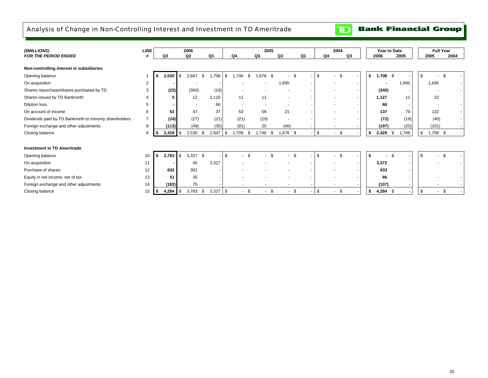# Analysis of Change in Non-Controlling Interest and Investment in TD Ameritrade

#### **Bank Financial Group**  $\mathbf{D}$

| (\$MILLIONS)                                            | <b>LINE</b> | 2006                        |                          |                    |                          | 2005                 |                |                |         | 2004                     |             | Year to Date             | <b>Full Year</b> |      |
|---------------------------------------------------------|-------------|-----------------------------|--------------------------|--------------------|--------------------------|----------------------|----------------|----------------|---------|--------------------------|-------------|--------------------------|------------------|------|
| <b>FOR THE PERIOD ENDED</b>                             |             | Q3                          | Q <sub>2</sub>           | Q1                 | Q4                       | Q3                   | Q <sub>2</sub> | Q <sub>1</sub> | Q4      | Q3                       | 2006        | 2005                     | 2005             | 2004 |
| Non-controlling interest in subsidiaries                |             |                             |                          |                    |                          |                      |                |                |         |                          |             |                          |                  |      |
| Opening balance                                         |             | 2,530                       | \$<br>2,847              | \$<br>1,708        | \$<br>1,746              | \$<br>.676<br>.\$    | \$             |                | \$.     | <sup>\$</sup>            | \$<br>1,708 | \$                       | -\$              | \$   |
| On acquisition                                          | 2           |                             | $\overline{\phantom{a}}$ |                    |                          |                      | 1,695          |                |         | $\overline{\phantom{a}}$ |             | 1,695                    | 1,695            |      |
| Shares repurchase/shares purchased by TD                | 3           | (22)                        | (300)                    | (18)               |                          |                      |                |                |         |                          | (340)       | $\overline{\phantom{a}}$ |                  |      |
| Shares issued by TD Banknorth                           |             | 5                           | 12                       | 1,110              | 11                       | 11                   |                |                |         |                          | 1,127       | 11                       | 22               |      |
| <b>Dilution loss</b>                                    | 5           |                             |                          | 66                 | $\overline{\phantom{a}}$ |                      |                |                |         |                          | 66          |                          |                  |      |
| On account of income                                    | 6           | 53                          | 47                       | 37                 | 53                       | 58                   | 21             |                |         |                          | 137         | 79                       | 132              |      |
| Dividends paid by TD Banknorth to minority shareholders |             | (24)                        | (27)                     | (21)               | (21)                     | (19)                 | . .            |                |         |                          | (72)        | (19)                     | (40)             |      |
| Foreign exchange and other adjustments                  | 8           | (113)                       | (49)                     | (35)               | (81)                     | 20                   | (40)           |                |         |                          | (197)       | (20)                     | (101)            |      |
| Closing balance                                         | 9           | 2,429                       | 2,530<br>\$              | 2,847<br>- \$      | 1,708<br>\$              | .746<br>- \$<br>- \$ | 1,676 \$       |                | \$.     | <b>.ε</b>                | 2,429<br>\$ | .746<br>\$               | \$<br>1,708 \$   |      |
|                                                         |             |                             |                          |                    |                          |                      |                |                |         |                          |             |                          |                  |      |
| <b>Investment in TD Ameritrade</b>                      |             |                             |                          |                    |                          |                      |                |                |         |                          |             |                          |                  |      |
| Opening balance                                         | 10          | 3,783<br>s.                 | 3,327<br><sub>\$</sub>   | - \$               | \$.                      |                      | £.             |                |         |                          | \$          |                          |                  |      |
| On acquisition                                          | 11          |                             | 45                       | 3,327              |                          |                      |                |                |         | $\overline{\phantom{a}}$ | 3,372       |                          |                  |      |
| Purchase of shares                                      | 12          | 632                         | 301                      |                    |                          |                      |                |                |         |                          | 933         |                          |                  |      |
| Equity in net income, net of tax                        | 13          | 51                          | 35                       |                    |                          |                      |                |                |         |                          |             | 86                       |                  |      |
| Foreign exchange and other adjustments                  | 14          | (182)                       | 75                       |                    |                          |                      |                |                |         |                          | (107)       |                          |                  |      |
| Closing balance                                         | 15          | 4,284 $\frac{1}{3}$<br>l \$ | 3,783                    | $3,327$ \$<br>- \$ |                          | -\$<br>-\$           | -\$<br>$\sim$  |                | \$<br>٠ | -\$                      | s.          | 4,284 \$                 | $\sim$           | \$   |